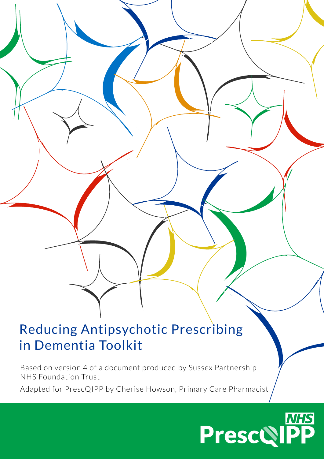# Reducing Antipsychotic Prescribing in Dementia Toolkit

Based on version 4 of a document produced by Sussex Partnership NHS Foundation Trust

Adapted for PrescQIPP by Cherise Howson, Primary Care Pharmacist

# **PrescQIPP**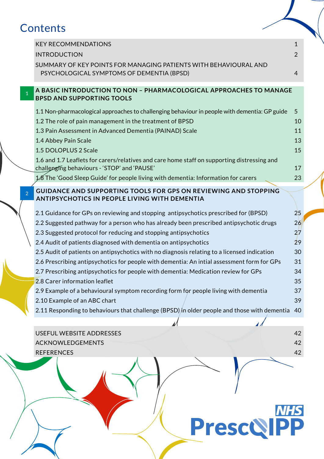# **Contents**

|                | ontents                                                                                                                                    |                                |
|----------------|--------------------------------------------------------------------------------------------------------------------------------------------|--------------------------------|
|                | <b>KEY RECOMMENDATIONS</b><br><b>INTRODUCTION</b><br>SUMMARY OF KEY POINTS FOR MANAGING PATIENTS WITH BEHAVIOURAL AND                      | $\mathbf{1}$<br>$\overline{2}$ |
|                | PSYCHOLOGICAL SYMPTOMS OF DEMENTIA (BPSD)                                                                                                  | $\overline{4}$                 |
|                | A BASIC INTRODUCTION TO NON - PHARMACOLOGICAL APPROACHES TO MANAGE<br><b>BPSD AND SUPPORTING TOOLS</b>                                     |                                |
|                | 1.1 Non-pharmacological approaches to challenging behaviour in people with dementia: GP guide                                              | 5                              |
|                | 1.2 The role of pain management in the treatment of BPSD                                                                                   | 10                             |
|                | 1.3 Pain Assessment in Advanced Dementia (PAINAD) Scale                                                                                    | 11                             |
|                | 1.4 Abbey Pain Scale                                                                                                                       | 13                             |
|                | 1.5 DOLOPLUS 2 Scale                                                                                                                       | 15                             |
|                | 1.6 and 1.7 Leaflets for carers/relatives and care home staff on supporting distressing and<br>challenging behaviours - 'STOP' and 'PAUSE' | 17                             |
|                | 1.8 The 'Good Sleep Guide' for people living with dementia: Information for carers                                                         | 23                             |
| $\overline{2}$ | <b>GUIDANCE AND SUPPORTING TOOLS FOR GPS ON REVIEWING AND STOPPING</b><br><b>ANTIPSYCHOTICS IN PEOPLE LIVING WITH DEMENTIA</b>             |                                |
|                | 2.1 Guidance for GPs on reviewing and stopping antipsychotics prescribed for (BPSD)                                                        | 25                             |
|                | 2.2 Suggested pathway for a person who has already been prescribed antipsychotic drugs                                                     | 26                             |
|                | 2.3 Suggested protocol for reducing and stopping antipsychotics                                                                            | 27                             |
|                | 2.4 Audit of patients diagnosed with dementia on antipsychotics                                                                            | 29                             |
|                | 2.5 Audit of patients on antipsychotics with no diagnosis relating to a licensed indication                                                | 30                             |
|                | 2.6 Prescribing antipsychotics for people with dementia: An intial assessment form for GPs                                                 | 31                             |
|                | 2.7 Prescribing antipsychotics for people with dementia: Medication review for GPs<br>2.8 Carer information leaflet                        | 34<br>35                       |
|                | 2.9 Example of a behavioural symptom recording form for people living with dementia                                                        | 37                             |
|                | 2.10 Example of an ABC chart                                                                                                               | 39                             |
|                | 2.11 Responding to behaviours that challenge (BPSD) in older people and those with dementia                                                | 40                             |
|                |                                                                                                                                            |                                |
|                | USEFUL WEBSITE ADDRESSES                                                                                                                   | 42                             |
|                | <b>ACKNOWLEDGEMENTS</b>                                                                                                                    | 42                             |
|                | <b>REFERENCES</b>                                                                                                                          | 42                             |
|                |                                                                                                                                            |                                |

**Presco PP**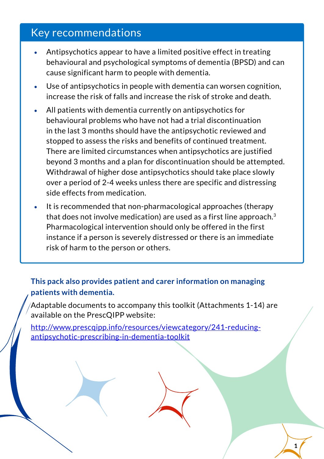# <span id="page-2-0"></span>Key recommendations

- Antipsychotics appear to have a limited positive effect in treating behavioural and psychological symptoms of dementia (BPSD) and can cause significant harm to people with dementia.
- Use of antipsychotics in people with dementia can worsen cognition, increase the risk of falls and increase the risk of stroke and death.
- All patients with dementia currently on antipsychotics for behavioural problems who have not had a trial discontinuation in the last 3 months should have the antipsychotic reviewed and stopped to assess the risks and benefits of continued treatment. There are limited circumstances when antipsychotics are justified beyond 3 months and a plan for discontinuation should be attempted. Withdrawal of higher dose antipsychotics should take place slowly over a period of 2-4 weeks unless there are specific and distressing side effects from medication.
- It is recommended that non-pharmacological approaches (therapy that does not involve medication) are used as a first line approach.3 Pharmacological intervention should only be offered in the first instance if a person is severely distressed or there is an immediate risk of harm to the person or others.

**This pack also provides patient and carer information on managing patients with dementia.**

 $\sqrt{2}$ Adaptable documents to accompany this toolkit (Attachments 1-14) are available on the PrescQIPP website:

[http://www.prescqipp.info/resources/viewcategory/241-reducing](http://www.prescqipp.info/resources/viewcategory/241-reducing-antipsychotic-prescribing-in-dementia-toolkit)[antipsychotic-prescribing-in-dementia-toolkit](http://www.prescqipp.info/resources/viewcategory/241-reducing-antipsychotic-prescribing-in-dementia-toolkit)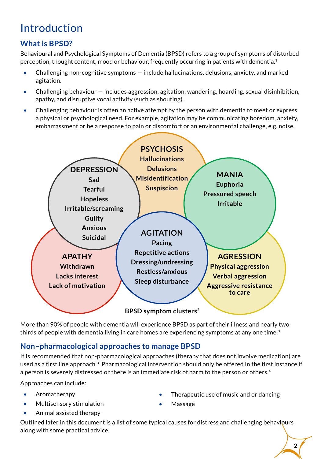# <span id="page-3-0"></span>Introduction

# **What is BPSD?**

Behavioural and Psychological Symptoms of Dementia (BPSD) refers to a group of symptoms of disturbed perception, thought content, mood or behaviour, frequently occurring in patients with dementia.1

- Challenging non-cognitive symptoms include hallucinations, delusions, anxiety, and marked agitation.
- Challenging behaviour  $-$  includes aggression, agitation, wandering, hoarding, sexual disinhibition, apathy, and disruptive vocal activity (such as shouting).
- Challenging behaviour is often an active attempt by the person with dementia to meet or express a physical or psychological need. For example, agitation may be communicating boredom, anxiety, embarrassment or be a response to pain or discomfort or an environmental challenge, e.g. noise.



More than 90% of people with dementia will experience BPSD as part of their illness and nearly two thirds of people with dementia living in care homes are experiencing symptoms at any one time.<sup>3</sup>

# **Non–pharmacological approaches to manage BPSD**

It is recommended that non-pharmacological approaches (therapy that does not involve medication) are used as a first line approach.3 Pharmacological intervention should only be offered in the first instance if a person is severely distressed or there is an immediate risk of harm to the person or others.<sup>4</sup>

Approaches can include:

- Aromatherapy
- Multisensory stimulation
- Animal assisted therapy
- Therapeutic use of music and or dancing
- Massage

Outlined later in this document is a list of some typical causes for distress and challenging behaviours along with some practical advice.

**2**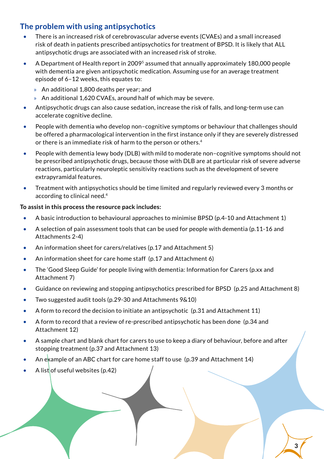# **The problem with using antipsychotics**

- There is an increased risk of cerebrovascular adverse events (CVAEs) and a small increased risk of death in patients prescribed antipsychotics for treatment of BPSD. It is likely that ALL antipsychotic drugs are associated with an increased risk of stroke.
- A Department of Health report in 20095 assumed that annually approximately 180,000 people with dementia are given antipsychotic medication. Assuming use for an average treatment episode of 6–12 weeks, this equates to:
	- » An additional 1,800 deaths per year; and
	- » An additional 1,620 CVAEs, around half of which may be severe.
- Antipsychotic drugs can also cause sedation, increase the risk of falls, and long-term use can accelerate cognitive decline.
- People with dementia who develop non–cognitive symptoms or behaviour that challenges should be offered a pharmacological intervention in the first instance only if they are severely distressed or there is an immediate risk of harm to the person or others.4
- People with dementia lewy body (DLB) with mild to moderate non-cognitive symptoms should not be prescribed antipsychotic drugs, because those with DLB are at particular risk of severe adverse reactions, particularly neuroleptic sensitivity reactions such as the development of severe extrapyramidal features.
- Treatment with antipsychotics should be time limited and regularly reviewed every 3 months or according to clinical need.4

## **To assist in this process the resource pack includes:**

- A basic introduction to behavioural approaches to minimise BPSD (p.4-10 and Attachment 1)
- A selection of pain assessment tools that can be used for people with dementia (p.11-16 and Attachments 2-4)
- An information sheet for carers/relatives (p.17 and Attachment 5)
- An information sheet for care home staff (p.17 and Attachment 6)
- The 'Good Sleep Guide' for people living with dementia: Information for Carers (p.xx and Attachment 7)
- Guidance on reviewing and stopping antipsychotics prescribed for BPSD (p.25 and Attachment 8)
- Two suggested audit tools (p.29-30 and Attachments 9&10)
- A form to record the decision to initiate an antipsychotic (p.31 and Attachment 11)
- A form to record that a review of re-prescribed antipsychotic has been done (p.34 and Attachment 12)
- A sample chart and blank chart for carers to use to keep a diary of behaviour, before and after stopping treatment (p.37 and Attachment 13)
- An example of an ABC chart for care home staff to use (p.39 and Attachment 14)
- A list of useful websites  $(p.42)$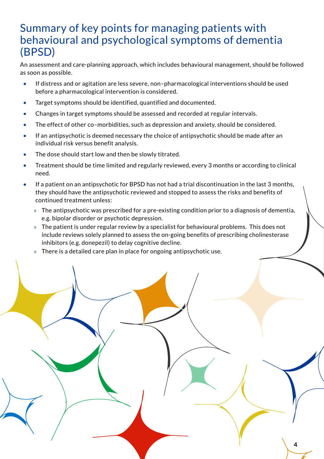# <span id="page-5-0"></span>Summary of key points for managing patients with behavioural and psychological symptoms of dementia (BPSD)

An assessment and care-planning approach, which includes behavioural management, should be followed as soon as possible.

- If distress and or agitation are less severe, non–pharmacological interventions should be used before a pharmacological intervention is considered.
- Target symptoms should be identified, quantified and documented.
- Changes in target symptoms should be assessed and recorded at regular intervals.
- The effect of other co–morbidities, such as depression and anxiety, should be considered.
- If an antipsychotic is deemed necessary the choice of antipsychotic should be made after an individual risk versus benefit analysis.
- The dose should start low and then be slowly titrated.
- Treatment should be time limited and regularly reviewed, every 3 months or according to clinical need.
- If a patient on an antipsychotic for BPSD has not had a trial discontinuation in the last 3 months, they should have the antipsychotic reviewed and stopped to assess the risks and benefits of continued treatment unless:
	- » The antipsychotic was prescribed for a pre-existing condition prior to a diagnosis of dementia, e.g. bipolar disorder or psychotic depression.
	- » The patient is under regular review by a specialist for behavioural problems. This does not include reviews solely planned to assess the on-going benefits of prescribing cholinesterase inhibitors (e.g. donepezil) to delay cognitive decline.

**4**

» There is a detailed care plan in place for ongoing antipsychotic use.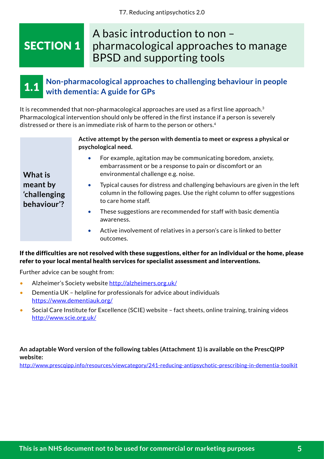# <span id="page-6-0"></span>SECTION 1

# A basic introduction to non – pharmacological approaches to manage BPSD and supporting tools

#### **Non-pharmacological approaches to challenging behaviour in people with dementia: A guide for GPs** 1.1

It is recommended that non-pharmacological approaches are used as a first line approach.<sup>3</sup> Pharmacological intervention should only be offered in the first instance if a person is severely distressed or there is an immediate risk of harm to the person or others.4

| Active attempt by the person with dementia to meet or express a physical or |
|-----------------------------------------------------------------------------|
| psychological need.                                                         |

- **What is meant by 'challenging behaviour'?**
- For example, agitation may be communicating boredom, anxiety, embarrassment or be a response to pain or discomfort or an environmental challenge e.g. noise.
- Typical causes for distress and challenging behaviours are given in the left column in the following pages. Use the right column to offer suggestions to care home staff.
- These suggestions are recommended for staff with basic dementia awareness.
- Active involvement of relatives in a person's care is linked to better outcomes.

## If the difficulties are not resolved with these suggestions, either for an individual or the home, please refer to your local mental health services for specialist assessment and interventions.

Further advice can be sought from:

- Alzheimer's Society website <http://alzheimers.org.uk/>
- Dementia UK helpline for professionals for advice about individuals <https://www.dementiauk.org/>
- Social Care Institute for Excellence (SCIE) website fact sheets, online training, training videos <http://www.scie.org.uk/>

## **An adaptable Word version of the following tables (Attachment 1) is available on the PrescQIPP website:**

<http://www.prescqipp.info/resources/viewcategory/241-reducing-antipsychotic-prescribing-in-dementia-toolkit>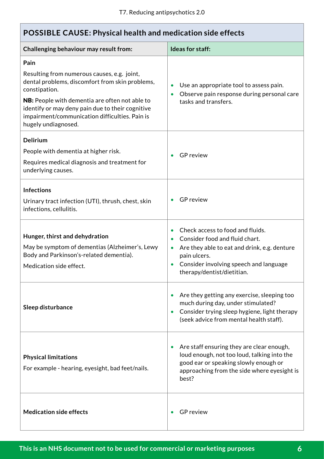| <b>POSSIBLE CAUSE: Physical health and medication side effects</b>                                                                                                                                                                                                                                            |                                                                                                                                                                                                            |  |  |
|---------------------------------------------------------------------------------------------------------------------------------------------------------------------------------------------------------------------------------------------------------------------------------------------------------------|------------------------------------------------------------------------------------------------------------------------------------------------------------------------------------------------------------|--|--|
| Challenging behaviour may result from:                                                                                                                                                                                                                                                                        | Ideas for staff:                                                                                                                                                                                           |  |  |
| Pain<br>Resulting from numerous causes, e.g. joint,<br>dental problems, discomfort from skin problems,<br>constipation.<br><b>NB:</b> People with dementia are often not able to<br>identify or may deny pain due to their cognitive<br>impairment/communication difficulties. Pain is<br>hugely undiagnosed. | Use an appropriate tool to assess pain.<br>Observe pain response during personal care<br>tasks and transfers.                                                                                              |  |  |
| <b>Delirium</b><br>People with dementia at higher risk.<br>Requires medical diagnosis and treatment for<br>underlying causes.                                                                                                                                                                                 | <b>GP</b> review                                                                                                                                                                                           |  |  |
| <b>Infections</b><br>Urinary tract infection (UTI), thrush, chest, skin<br>infections, cellulitis.                                                                                                                                                                                                            | <b>GP</b> review                                                                                                                                                                                           |  |  |
| Hunger, thirst and dehydration<br>May be symptom of dementias (Alzheimer's, Lewy<br>Body and Parkinson's-related dementia).<br>Medication side effect.                                                                                                                                                        | Check access to food and fluids.<br>Consider food and fluid chart.<br>Are they able to eat and drink, e.g. denture<br>pain ulcers.<br>Consider involving speech and language<br>therapy/dentist/dietitian. |  |  |
| Sleep disturbance                                                                                                                                                                                                                                                                                             | Are they getting any exercise, sleeping too<br>much during day, under stimulated?<br>Consider trying sleep hygiene, light therapy<br>(seek advice from mental health staff).                               |  |  |
| <b>Physical limitations</b><br>For example - hearing, eyesight, bad feet/nails.                                                                                                                                                                                                                               | Are staff ensuring they are clear enough,<br>loud enough, not too loud, talking into the<br>good ear or speaking slowly enough or<br>approaching from the side where eyesight is<br>best?                  |  |  |
| <b>Medication side effects</b>                                                                                                                                                                                                                                                                                | <b>GP</b> review                                                                                                                                                                                           |  |  |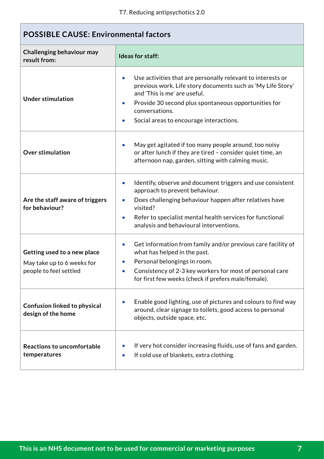| <b>POSSIBLE CAUSE: Environmental factors</b>                                        |                                                                                                                                                                                                                                                                                                                   |  |  |
|-------------------------------------------------------------------------------------|-------------------------------------------------------------------------------------------------------------------------------------------------------------------------------------------------------------------------------------------------------------------------------------------------------------------|--|--|
| Challenging behaviour may<br>result from:                                           | Ideas for staff:                                                                                                                                                                                                                                                                                                  |  |  |
| <b>Under stimulation</b>                                                            | Use activities that are personally relevant to interests or<br>previous work. Life story documents such as 'My Life Story'<br>and 'This is me' are useful.<br>Provide 30 second plus spontaneous opportunities for<br>$\bullet$<br>conversations.<br>Social areas to encourage interactions.                      |  |  |
| <b>Over stimulation</b>                                                             | May get agitated if too many people around, too noisy<br>$\bullet$<br>or after lunch if they are tired - consider quiet time, an<br>afternoon nap, garden, sitting with calming music.                                                                                                                            |  |  |
| Are the staff aware of triggers<br>for behaviour?                                   | Identify, observe and document triggers and use consistent<br>$\bullet$<br>approach to prevent behaviour.<br>Does challenging behaviour happen after relatives have<br>$\bullet$<br>visited?<br>Refer to specialist mental health services for functional<br>$\bullet$<br>analysis and behavioural interventions. |  |  |
| Getting used to a new place<br>May take up to 6 weeks for<br>people to feel settled | Get information from family and/or previous care facility of<br>$\bullet$<br>what has helped in the past.<br>Personal belongings in room.<br>Consistency of 2-3 key workers for most of personal care<br>for first few weeks (check if prefers male/female).                                                      |  |  |
| Confusion linked to physical<br>design of the home                                  | Enable good lighting, use of pictures and colours to find way<br>around, clear signage to toilets, good access to personal<br>objects, outside space, etc.                                                                                                                                                        |  |  |
| Reactions to uncomfortable<br>temperatures                                          | If very hot consider increasing fluids, use of fans and garden.<br>If cold use of blankets, extra clothing.<br>$\bullet$                                                                                                                                                                                          |  |  |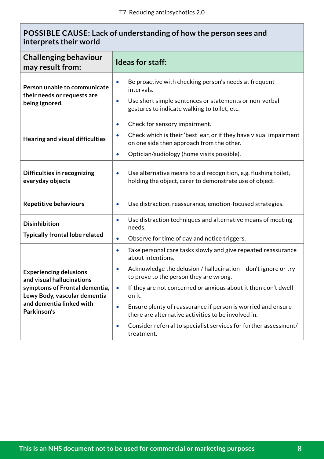# **POSSIBLE CAUSE: Lack of understanding of how the person sees and interprets their world**

| <b>Challenging behaviour</b><br>may result from:                              | <b>Ideas for staff:</b>                                                                                                                                                                                 |  |  |
|-------------------------------------------------------------------------------|---------------------------------------------------------------------------------------------------------------------------------------------------------------------------------------------------------|--|--|
| Person unable to communicate<br>their needs or requests are<br>being ignored. | Be proactive with checking person's needs at frequent<br>$\bullet$<br>intervals.<br>Use short simple sentences or statements or non-verbal<br>$\bullet$<br>gestures to indicate walking to toilet, etc. |  |  |
| Hearing and visual difficulties                                               | Check for sensory impairment.<br>$\bullet$<br>Check which is their 'best' ear, or if they have visual impairment<br>$\bullet$<br>on one side then approach from the other.                              |  |  |
|                                                                               | Optician/audiology (home visits possible).<br>$\bullet$                                                                                                                                                 |  |  |
| Difficulties in recognizing<br>everyday objects                               | Use alternative means to aid recognition, e.g. flushing toilet,<br>$\bullet$<br>holding the object, carer to demonstrate use of object.                                                                 |  |  |
| <b>Repetitive behaviours</b>                                                  | Use distraction, reassurance, emotion-focused strategies.<br>$\bullet$                                                                                                                                  |  |  |
| <b>Disinhibition</b>                                                          | Use distraction techniques and alternative means of meeting<br>$\bullet$<br>needs.                                                                                                                      |  |  |
| <b>Typically frontal lobe related</b>                                         | Observe for time of day and notice triggers.<br>$\bullet$                                                                                                                                               |  |  |
|                                                                               | Take personal care tasks slowly and give repeated reassurance<br>$\bullet$<br>about intentions.                                                                                                         |  |  |
| <b>Experiencing delusions</b><br>and visual hallucinations                    | Acknowledge the delusion / hallucination - don't ignore or try<br>$\bullet$<br>to prove to the person they are wrong.                                                                                   |  |  |
| symptoms of Frontal dementia,<br>Lewy Body, vascular dementia                 | If they are not concerned or anxious about it then don't dwell<br>$\bullet$<br>on it.                                                                                                                   |  |  |
| and dementia linked with<br>Parkinson's                                       | Ensure plenty of reassurance if person is worried and ensure<br>$\bullet$<br>there are alternative activities to be involved in.                                                                        |  |  |
|                                                                               | Consider referral to specialist services for further assessment/<br>$\bullet$<br>treatment.                                                                                                             |  |  |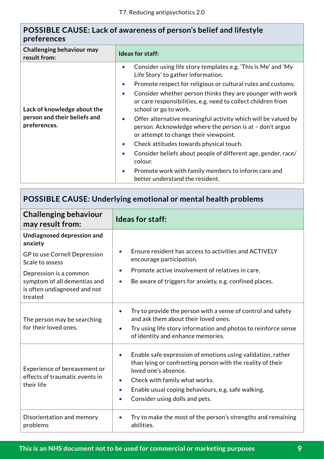# **POSSIBLE CAUSE: Lack of awareness of person's belief and lifestyle preferences**

| Consider using life story templates e.g. 'This is Me' and 'My<br>$\bullet$<br>Life Story' to gather information.<br>$\bullet$<br>$\bullet$<br>or care responsibilities, e.g. need to collect children from<br>school or go to work.<br>Lack of knowledge about the                                                                                    | Challenging behaviour may<br>result from: | Ideas for staff:                                                                                                                                                                                                                                            |
|-------------------------------------------------------------------------------------------------------------------------------------------------------------------------------------------------------------------------------------------------------------------------------------------------------------------------------------------------------|-------------------------------------------|-------------------------------------------------------------------------------------------------------------------------------------------------------------------------------------------------------------------------------------------------------------|
| person and their beliefs and<br>$\bullet$<br>preferences.<br>person. Acknowledge where the person is at - don't argue<br>or attempt to change their viewpoint.<br>Check attitudes towards physical touch.<br>$\bullet$<br>$\bullet$<br>colour.<br>Promote work with family members to inform care and<br>$\bullet$<br>better understand the resident. |                                           | Promote respect for religious or cultural rules and customs.<br>Consider whether person thinks they are younger with work<br>Offer alternative meaningful activity which will be valued by<br>Consider beliefs about people of different age, gender, race/ |

# **POSSIBLE CAUSE: Underlying emotional or mental health problems**

| <b>Challenging behaviour</b><br>may result from:                             | <b>Ideas for staff:</b>                                                                                                                                                                                                                                                                                                        |
|------------------------------------------------------------------------------|--------------------------------------------------------------------------------------------------------------------------------------------------------------------------------------------------------------------------------------------------------------------------------------------------------------------------------|
| Undiagnosed depression and<br>anxiety                                        |                                                                                                                                                                                                                                                                                                                                |
| GP to use Cornell Depression<br>Scale to assess                              | Ensure resident has access to activities and ACTIVELY<br>$\bullet$<br>encourage participation.                                                                                                                                                                                                                                 |
| Depression is a common                                                       | Promote active involvement of relatives in care.<br>$\bullet$                                                                                                                                                                                                                                                                  |
| symptom of all dementias and<br>is often undiagnosed and not<br>treated      | Be aware of triggers for anxiety, e.g. confined places.<br>$\bullet$                                                                                                                                                                                                                                                           |
| The person may be searching<br>for their loved ones.                         | Try to provide the person with a sense of control and safety<br>$\bullet$<br>and ask them about their loved ones.<br>Try using life story information and photos to reinforce sense<br>$\bullet$<br>of identity and enhance memories.                                                                                          |
| Experience of bereavement or<br>effects of traumatic events in<br>their life | Enable safe expression of emotions using validation, rather<br>$\bullet$<br>than lying or confronting person with the reality of their<br>loved one's absence.<br>Check with family what works.<br>$\bullet$<br>Enable usual coping behaviours, e.g. safe walking.<br>$\bullet$<br>Consider using dolls and pets.<br>$\bullet$ |
| Disorientation and memory<br>problems                                        | Try to make the most of the person's strengths and remaining<br>$\bullet$<br>abilities.                                                                                                                                                                                                                                        |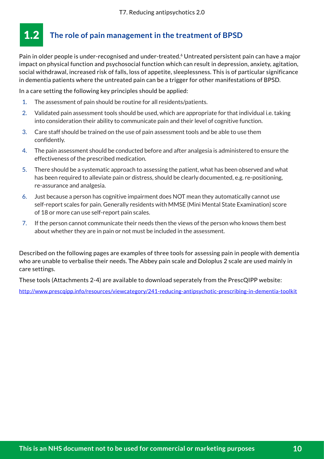#### <span id="page-11-0"></span>**The role of pain management in the treatment of BPSD** 1.2

Pain in older people is under-recognised and under-treated.<sup>6</sup> Untreated persistent pain can have a major impact on physical function and psychosocial function which can result in depression, anxiety, agitation, social withdrawal, increased risk of falls, loss of appetite, sleeplessness. This is of particular significance in dementia patients where the untreated pain can be a trigger for other manifestations of BPSD.

In a care setting the following key principles should be applied:

- 1. The assessment of pain should be routine for all residents/patients.
- 2. Validated pain assessment tools should be used, which are appropriate for that individual i.e. taking into consideration their ability to communicate pain and their level of cognitive function.
- 3. Care staff should be trained on the use of pain assessment tools and be able to use them confidently.
- 4. The pain assessment should be conducted before and after analgesia is administered to ensure the effectiveness of the prescribed medication.
- 5. There should be a systematic approach to assessing the patient, what has been observed and what has been required to alleviate pain or distress, should be clearly documented, e.g. re-positioning, re-assurance and analgesia.
- 6. Just because a person has cognitive impairment does NOT mean they automatically cannot use self-report scales for pain. Generally residents with MMSE (Mini Mental State Examination) score of 18 or more can use self-report pain scales.
- 7. If the person cannot communicate their needs then the views of the person who knows them best about whether they are in pain or not must be included in the assessment.

Described on the following pages are examples of three tools for assessing pain in people with dementia who are unable to verbalise their needs. The Abbey pain scale and Doloplus 2 scale are used mainly in care settings.

These tools (Attachments 2-4) are available to download seperately from the PrescQIPP website:

<http://www.prescqipp.info/resources/viewcategory/241-reducing-antipsychotic-prescribing-in-dementia-toolkit>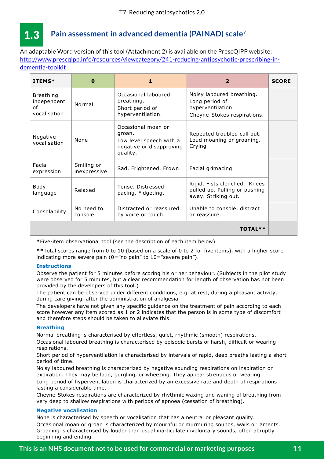<span id="page-12-0"></span>

# **Pain assessment in advanced dementia (PAINAD) scale7**

An adaptable Word version of this tool (Attachment 2) is available on the PrescQIPP website: [http://www.prescqipp.info/resources/viewcategory/241-reducing-antipsychotic-prescribing-in-](http://www.prescqipp.info/resources/viewcategory/241-reducing-antipsychotic-prescribing-in-dementia-toolkit)**Pain assessment in advanced dementia (PAINAD) scale** [dementia-toolkit](http://www.prescqipp.info/resources/viewcategory/241-reducing-antipsychotic-prescribing-in-dementia-toolkit)

| ITEMS*                                                | $\bf{0}$                   | 1                                                                                               | $\overline{2}$                                                                                  | <b>SCORE</b> |
|-------------------------------------------------------|----------------------------|-------------------------------------------------------------------------------------------------|-------------------------------------------------------------------------------------------------|--------------|
| <b>Breathing</b><br>independent<br>of<br>vocalisation | Normal                     | Occasional laboured<br>breathing.<br>Short period of<br>hyperventilation.                       | Noisy laboured breathing.<br>Long period of<br>hyperventilation.<br>Cheyne-Stokes respirations. |              |
| Negative<br>vocalisation                              | None                       | Occasional moan or<br>groan.<br>Low level speech with a<br>negative or disapproving<br>quality. | Repeated troubled call out.<br>Loud moaning or groaning.<br>Crying                              |              |
| Facial<br>expression                                  | Smiling or<br>inexpressive | Sad. Frightened. Frown.                                                                         | Facial grimacing.                                                                               |              |
| Body<br>language                                      | Relaxed                    | Tense. Distressed<br>pacing. Fidgeting.                                                         | Rigid. Fists clenched. Knees<br>pulled up. Pulling or pushing<br>away. Striking out.            |              |
| Consolability                                         | No need to<br>console      | Distracted or reassured<br>by voice or touch.                                                   | Unable to console, distract<br>or reassure.                                                     |              |
|                                                       |                            |                                                                                                 | <b>TOTAL**</b>                                                                                  |              |

**\***Five-item observational tool (see the description of each item below).

**\*\***Total scores range from 0 to 10 (based on a scale of 0 to 2 for five items), with a higher score indicating more severe pain  $(0="$ no pain" to  $10="$ severe pain").

#### **Instructions**

Observe the patient for 5 minutes before scoring his or her behaviour. (Subjects in the pilot study were observed for 5 minutes, but a clear recommendation for length of observation has not been provided by the developers of this tool.)

The patient can be observed under different conditions, e.g. at rest, during a pleasant activity, during care giving, after the administration of analgesia.

The developers have not given any specific guidance on the treatment of pain according to each score however any item scored as 1 or 2 indicates that the person is in some type of discomfort and therefore steps should be taken to alleviate this.

#### **Breathing**

Normal breathing is characterised by effortless, quiet, rhythmic (smooth) respirations. Occasional laboured breathing is characterised by episodic bursts of harsh, difficult or wearing respirations.

Short period of hyperventilation is characterised by intervals of rapid, deep breaths lasting a short period of time.

Noisy laboured breathing is characterized by negative sounding respirations on inspiration or expiration. They may be loud, gurgling, or wheezing. They appear strenuous or wearing.

Long period of hyperventilation is characterized by an excessive rate and depth of respirations lasting a considerable time.

Cheyne-Stokes respirations are characterized by rhythmic waxing and waning of breathing from very deep to shallow respirations with periods of apnoea (cessation of breathing).

#### **Negative vocalisation**

None is characterised by speech or vocalisation that has a neutral or pleasant quality. Occasional moan or groan is characterized by mournful or murmuring sounds, wails or laments. Groaning is characterised by louder than usual inarticulate involuntary sounds, often abruptly beginning and ending.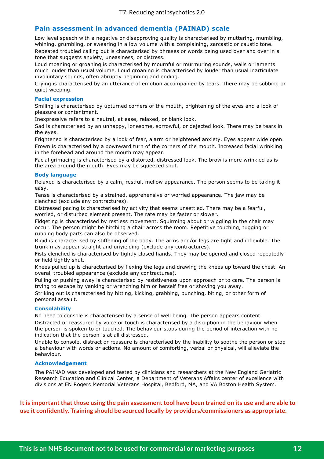## **Pain assessment in advanced dementia (PAINAD) scale**

Low level speech with a negative or disapproving quality is characterised by muttering, mumbling, whining, grumbling, or swearing in a low volume with a complaining, sarcastic or caustic tone. Repeated troubled calling out is characterised by phrases or words being used over and over in a tone that suggests anxiety, uneasiness, or distress.

Loud moaning or groaning is characterised by mournful or murmuring sounds, wails or laments much louder than usual volume. Loud groaning is characterised by louder than usual inarticulate involuntary sounds, often abruptly beginning and ending.

Crying is characterised by an utterance of emotion accompanied by tears. There may be sobbing or quiet weeping.

#### **Facial expression**

Smiling is characterised by upturned corners of the mouth, brightening of the eyes and a look of pleasure or contentment.

Inexpressive refers to a neutral, at ease, relaxed, or blank look.

Sad is characterised by an unhappy, lonesome, sorrowful, or dejected look. There may be tears in the eyes.

Frightened is characterised by a look of fear, alarm or heightened anxiety. Eyes appear wide open. Frown is characterised by a downward turn of the corners of the mouth. Increased facial wrinkling in the forehead and around the mouth may appear.

Facial grimacing is characterised by a distorted, distressed look. The brow is more wrinkled as is the area around the mouth. Eyes may be squeezed shut.

#### **Body language**

Relaxed is characterised by a calm, restful, mellow appearance. The person seems to be taking it easy.

Tense is characterised by a strained, apprehensive or worried appearance. The jaw may be clenched (exclude any contractures).

Distressed pacing is characterised by activity that seems unsettled. There may be a fearful, worried, or disturbed element present. The rate may be faster or slower.

Fidgeting is characterised by restless movement. Squirming about or wiggling in the chair may occur. The person might be hitching a chair across the room. Repetitive touching, tugging or rubbing body parts can also be observed.

Rigid is characterised by stiffening of the body. The arms and/or legs are tight and inflexible. The trunk may appear straight and unyielding (exclude any contractures).

Fists clenched is characterised by tightly closed hands. They may be opened and closed repeatedly or held tightly shut.

Knees pulled up is characterised by flexing the legs and drawing the knees up toward the chest. An overall troubled appearance (exclude any contractures).

Pulling or pushing away is characterised by resistiveness upon approach or to care. The person is trying to escape by yanking or wrenching him or herself free or shoving you away.

Striking out is characterised by hitting, kicking, grabbing, punching, biting, or other form of personal assault.

#### **Consolability**

No need to console is characterised by a sense of well being. The person appears content. Distracted or reassured by voice or touch is characterised by a disruption in the behaviour when the person is spoken to or touched. The behaviour stops during the period of interaction with no indication that the person is at all distressed.

Unable to console, distract or reassure is characterised by the inability to soothe the person or stop a behaviour with words or actions. No amount of comforting, verbal or physical, will alleviate the behaviour.

#### **Acknowledgement**

The PAINAD was developed and tested by clinicians and researchers at the New England Geriatric Research Education and Clinical Center, a Department of Veterans Affairs center of excellence with divisions at EN Rogers Memorial Veterans Hospital, Bedford, MA, and VA Boston Health System.

It is important that those using the pain assessment tool have been trained on its use and are able to **use it confidently. Training should be sourced locally by providers/commissioners as appropriate.**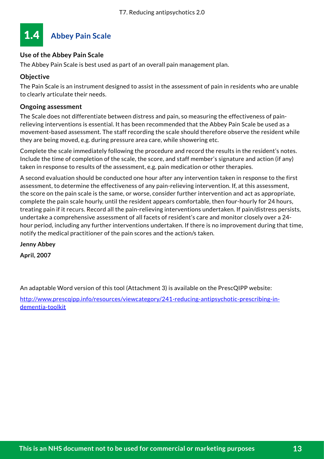<span id="page-14-0"></span>

# **Use of the Abbey Pain Scale**

The Abbey Pain Scale is best used as part of an overall pain management plan.

## **Objective**

The Pain Scale is an instrument designed to assist in the assessment of pain in residents who are unable to clearly articulate their needs.

## **Ongoing assessment**

The Scale does not differentiate between distress and pain, so measuring the effectiveness of painrelieving interventions is essential. It has been recommended that the Abbey Pain Scale be used as a movement-based assessment. The staff recording the scale should therefore observe the resident while they are being moved, e.g. during pressure area care, while showering etc.

Complete the scale immediately following the procedure and record the results in the resident's notes. Include the time of completion of the scale, the score, and staff member's signature and action (if any) taken in response to results of the assessment, e.g. pain medication or other therapies.

A second evaluation should be conducted one hour after any intervention taken in response to the first assessment, to determine the effectiveness of any pain-relieving intervention. If, at this assessment, the score on the pain scale is the same, or worse, consider further intervention and act as appropriate, complete the pain scale hourly, until the resident appears comfortable, then four-hourly for 24 hours, treating pain if it recurs. Record all the pain-relieving interventions undertaken. If pain/distress persists, undertake a comprehensive assessment of all facets of resident's care and monitor closely over a 24 hour period, including any further interventions undertaken. If there is no improvement during that time, notify the medical practitioner of the pain scores and the action/s taken.

**Jenny Abbey**

**April, 2007**

An adaptable Word version of this tool (Attachment 3) is available on the PrescQIPP website:

[http://www.prescqipp.info/resources/viewcategory/241-reducing-antipsychotic-prescribing-in](http://www.prescqipp.info/resources/viewcategory/241-reducing-antipsychotic-prescribing-in-dementia-toolkit)[dementia-toolkit](http://www.prescqipp.info/resources/viewcategory/241-reducing-antipsychotic-prescribing-in-dementia-toolkit)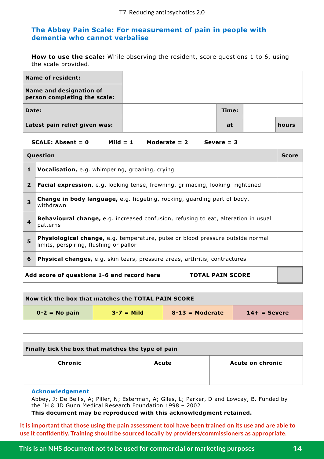## **The Abbey Pain Scale: For measurement of pain in people with dementia who cannot verbalise**

**How to use the scale:** While observing the resident, score questions 1 to 6, using the scale provided.

| <b>Name of resident:</b>                                |       |       |
|---------------------------------------------------------|-------|-------|
| Name and designation of<br>person completing the scale: |       |       |
| Date:                                                   | Time: |       |
| Latest pain relief given was:                           | at    | hours |

#### **SCALE: Absent = 0 Mild = 1 Moderate = 2 Severe = 3**

| Question                |                                                                                                                                 |  |
|-------------------------|---------------------------------------------------------------------------------------------------------------------------------|--|
| 1                       | Vocalisation, e.g. whimpering, groaning, crying                                                                                 |  |
| $\overline{2}$          | <b>Facial expression</b> , e.g. looking tense, frowning, grimacing, looking frightened                                          |  |
| 3                       | <b>Change in body language, e.g. fidgeting, rocking, guarding part of body,</b><br>withdrawn                                    |  |
| $\overline{\mathbf{4}}$ | <b>Behavioural change,</b> e.g. increased confusion, refusing to eat, alteration in usual<br>patterns                           |  |
| 5                       | <b>Physiological change, e.g. temperature, pulse or blood pressure outside normal</b><br>limits, perspiring, flushing or pallor |  |
| 6                       | <b>Physical changes,</b> e.g. skin tears, pressure areas, arthritis, contractures                                               |  |
|                         | Add score of questions 1-6 and record here<br><b>TOTAL PAIN SCORE</b>                                                           |  |

| Now tick the box that matches the TOTAL PAIN SCORE |                |                   |                |
|----------------------------------------------------|----------------|-------------------|----------------|
| $0-2 = No$ pain                                    | $3 - 7 =$ Mild | $8-13$ = Moderate | $14+ =$ Severe |
|                                                    |                |                   |                |

| Finally tick the box that matches the type of pain |       |                  |  |
|----------------------------------------------------|-------|------------------|--|
| Chronic                                            | Acute | Acute on chronic |  |
|                                                    |       |                  |  |

#### **Acknowledgement**

Abbey, J; De Bellis, A; Piller, N; Esterman, A; Giles, L; Parker, D and Lowcay, B. Funded by the JH & JD Gunn Medical Research Foundation 1998 – 2002

**This document may be reproduced with this acknowledgment retained.**

It is important that those using the pain assessment tool have been trained on its use and are able to **use it confidently. Training should be sourced locally by providers/commissioners as appropriate.**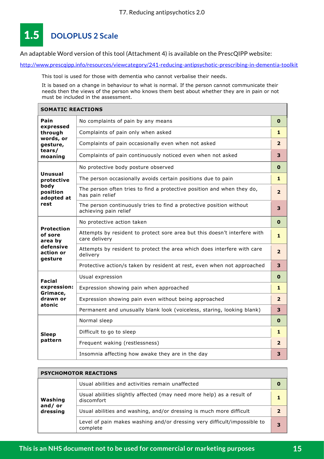#### <span id="page-16-0"></span>**DOLOPLUS 2 Scale**  1.5

An adaptable Word version of this tool (Attachment 4) is available on the PrescQIPP website:

<mark><http://www.prescqipp.info/resources/viewcategory/241-reducing-antipsychotic-prescribing-in-dementia-toolkit></mark>

This tool is used for those with dementia who cannot verbalise their needs.

It is based on a change in behaviour to what is normal. If the person cannot communicate their needs then the views of the person who knows them best about whether they are in pain or not must be included in the assessment.

| <b>SOMATIC REACTIONS</b>                                                     |                                                                                              |                |  |  |  |  |  |  |
|------------------------------------------------------------------------------|----------------------------------------------------------------------------------------------|----------------|--|--|--|--|--|--|
| Pain                                                                         | No complaints of pain by any means                                                           | 0              |  |  |  |  |  |  |
| expressed<br>through                                                         | Complaints of pain only when asked                                                           | 1              |  |  |  |  |  |  |
| words, or<br>gesture,<br>tears/                                              | Complaints of pain occasionally even when not asked                                          |                |  |  |  |  |  |  |
| moaning                                                                      | Complaints of pain continuously noticed even when not asked                                  | 3              |  |  |  |  |  |  |
|                                                                              | No protective body posture observed                                                          | 0              |  |  |  |  |  |  |
| Unusual<br>protective<br>body<br>position<br>adopted at<br>rest              | The person occasionally avoids certain positions due to pain                                 | 1              |  |  |  |  |  |  |
|                                                                              | The person often tries to find a protective position and when they do,<br>has pain relief    | $\overline{2}$ |  |  |  |  |  |  |
|                                                                              | The person continuously tries to find a protective position without<br>achieving pain relief |                |  |  |  |  |  |  |
|                                                                              | No protective action taken                                                                   | O              |  |  |  |  |  |  |
| <b>Protection</b><br>of sore<br>area by<br>defensive<br>action or<br>qesture | Attempts by resident to protect sore area but this doesn't interfere with<br>care delivery   |                |  |  |  |  |  |  |
|                                                                              | Attempts by resident to protect the area which does interfere with care<br>delivery          |                |  |  |  |  |  |  |
|                                                                              | Protective action/s taken by resident at rest, even when not approached                      |                |  |  |  |  |  |  |
| <b>Facial</b>                                                                | Usual expression                                                                             | $\mathbf 0$    |  |  |  |  |  |  |
| expression:                                                                  | Expression showing pain when approached                                                      |                |  |  |  |  |  |  |
| Grimace,<br>drawn or                                                         | Expression showing pain even without being approached                                        | $\overline{2}$ |  |  |  |  |  |  |
| atonic                                                                       | Permanent and unusually blank look (voiceless, staring, looking blank)                       | 3              |  |  |  |  |  |  |
|                                                                              | Normal sleep                                                                                 | 0              |  |  |  |  |  |  |
| <b>Sleep</b>                                                                 | Difficult to go to sleep                                                                     | 1              |  |  |  |  |  |  |
| pattern                                                                      | Frequent waking (restlessness)                                                               | $\overline{2}$ |  |  |  |  |  |  |
|                                                                              | Insomnia affecting how awake they are in the day                                             | 3              |  |  |  |  |  |  |

| <b>PSYCHOMOTOR REACTIONS</b>  |                                                                                      |   |  |  |  |  |  |  |
|-------------------------------|--------------------------------------------------------------------------------------|---|--|--|--|--|--|--|
|                               | Usual abilities and activities remain unaffected                                     | 0 |  |  |  |  |  |  |
| Washing<br>and/or<br>dressing | Usual abilities slightly affected (may need more help) as a result of<br>discomfort  |   |  |  |  |  |  |  |
|                               | Usual abilities and washing, and/or dressing is much more difficult                  |   |  |  |  |  |  |  |
|                               | Level of pain makes washing and/or dressing very difficult/impossible to<br>complete | 3 |  |  |  |  |  |  |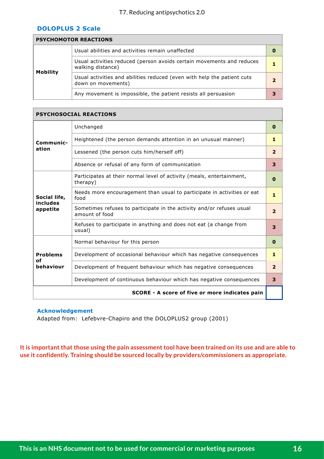#### **DOLOPLUS 2 Scale**

| <b>PSYCHOMOTOR REACTIONS</b> |                                                                                               |  |  |  |  |  |  |  |
|------------------------------|-----------------------------------------------------------------------------------------------|--|--|--|--|--|--|--|
|                              | Usual abilities and activities remain unaffected                                              |  |  |  |  |  |  |  |
| <b>Mobility</b>              | Usual activities reduced (person avoids certain movements and reduces<br>walking distance)    |  |  |  |  |  |  |  |
|                              | Usual activities and abilities reduced (even with help the patient cuts<br>down on movements) |  |  |  |  |  |  |  |
|                              | Any movement is impossible, the patient resists all persuasion                                |  |  |  |  |  |  |  |

| <b>PSYCHOSOCIAL REACTIONS</b>        |                                                                                         |                |  |  |  |  |  |
|--------------------------------------|-----------------------------------------------------------------------------------------|----------------|--|--|--|--|--|
|                                      | Unchanged                                                                               | $\mathbf 0$    |  |  |  |  |  |
| Communic-<br>ation                   | Heightened (the person demands attention in an unusual manner)                          |                |  |  |  |  |  |
|                                      | Lessened (the person cuts him/herself off)                                              |                |  |  |  |  |  |
|                                      | Absence or refusal of any form of communication                                         | 3              |  |  |  |  |  |
|                                      | Participates at their normal level of activity (meals, entertainment,<br>therapy)       | 0              |  |  |  |  |  |
| Social life,<br>includes<br>appetite | Needs more encouragement than usual to participate in activities or eat<br>food         |                |  |  |  |  |  |
|                                      | Sometimes refuses to participate in the activity and/or refuses usual<br>amount of food |                |  |  |  |  |  |
|                                      | Refuses to participate in anything and does not eat (a change from<br>usual)            | 3              |  |  |  |  |  |
|                                      | Normal behaviour for this person                                                        | $\bf{0}$       |  |  |  |  |  |
| <b>Problems</b>                      | Development of occasional behaviour which has negative consequences                     |                |  |  |  |  |  |
| οf<br>behaviour                      | Development of frequent behaviour which has negative consequences                       | $\overline{2}$ |  |  |  |  |  |
|                                      | Development of continuous behaviour which has negative consequences                     |                |  |  |  |  |  |
|                                      | <b>SCORE - A score of five or more indicates pain</b>                                   |                |  |  |  |  |  |

#### **Acknowledgement**

Adapted from: Lefebvre-Chapiro and the DOLOPLUS2 group (2001)

**It is important that those using the pain assessment tool have been trained on its use and are able to use it confidently. Training should be sourced locally by providers/commissioners as appropriate.**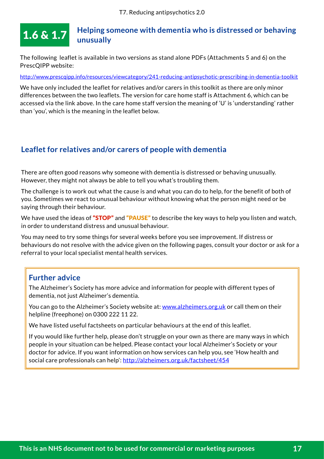#### <span id="page-18-0"></span>**Helping someone with dementia who is distressed or behaving unusually**  $1.6 \& 1.7$

The following leaflet is available in two versions as stand alone PDFs (Attachments 5 and 6) on the PrescQIPP website:

<http://www.prescqipp.info/resources/viewcategory/241-reducing-antipsychotic-prescribing-in-dementia-toolkit>

We have only included the leaflet for relatives and/or carers in this toolkit as there are only minor differences between the two leaflets. The version for care home staff is Attachment 6, which can be accessed via the link above. In the care home staff version the meaning of 'U' is 'understanding' rather than 'you', which is the meaning in the leaflet below.

# **Leaflet for relatives and/or carers of people with dementia**

There are often good reasons why someone with dementia is distressed or behaving unusually. However, they might not always be able to tell you what's troubling them.

The challenge is to work out what the cause is and what you can do to help, for the benefit of both of you. Sometimes we react to unusual behaviour without knowing what the person might need or be saying through their behaviour.

We have used the ideas of "STOP" and "PAUSE" to describe the key ways to help you listen and watch, in order to understand distress and unusual behaviour.

You may need to try some things for several weeks before you see improvement. If distress or behaviours do not resolve with the advice given on the following pages, consult your doctor or ask for a referral to your local specialist mental health services.

# **Further advice**

The Alzheimer's Society has more advice and information for people with different types of dementia, not just Alzheimer's dementia.

You can go to the Alzheimer's Society website at: [www.alzheimers.org.uk](website%20www.alzheimers.org.uk) or call them on their helpline (freephone) on 0300 222 11 22.

We have listed useful factsheets on particular behaviours at the end of this leaflet.

If you would like further help, please don't struggle on your own as there are many ways in which people in your situation can be helped. Please contact your local Alzheimer's Society or your doctor for advice. If you want information on how services can help you, see 'How health and social care professionals can help': <http://alzheimers.org.uk/factsheet/454>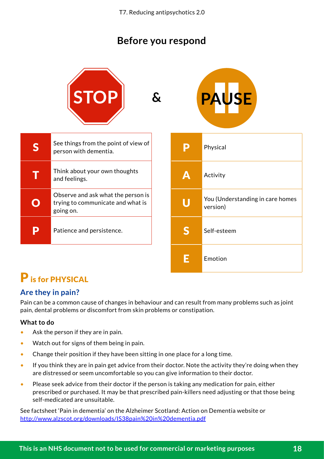# **Before you respond**

|   | STOP                                                                                 | $\boldsymbol{\delta}$ |   | <b>PAUSE</b>                                 |
|---|--------------------------------------------------------------------------------------|-----------------------|---|----------------------------------------------|
| S | See things from the point of view of<br>person with dementia.                        |                       | P | Physical                                     |
|   | Think about your own thoughts<br>and feelings.                                       |                       | Α | Activity                                     |
|   | Observe and ask what the person is<br>trying to communicate and what is<br>going on. |                       | U | You (Understanding in care homes<br>version) |
| P | Patience and persistence.                                                            |                       | S | Self-esteem                                  |
|   |                                                                                      |                       |   | Emotion                                      |

# P is for PHYSICAL

# **Are they in pain?**

Pain can be a common cause of changes in behaviour and can result from many problems such as joint pain, dental problems or discomfort from skin problems or constipation.

# **What to do**

O

- Ask the person if they are in pain.
- Watch out for signs of them being in pain.
- Change their position if they have been sitting in one place for a long time.
- If you think they are in pain get advice from their doctor. Note the activity they're doing when they are distressed or seem uncomfortable so you can give information to their doctor.
- Please seek advice from their doctor if the person is taking any medication for pain, either prescribed or purchased. It may be that prescribed pain-killers need adjusting or that those being self-medicated are unsuitable.

See factsheet 'Pain in dementia' on the Alzheimer Scotland: Action on Dementia website or [http://www.alzscot.org/downloads/IS38pain%20in%20dementia.pdf](http://www.alzscot.org/downloads/IS38pain%2520in%2520dementia.pdf)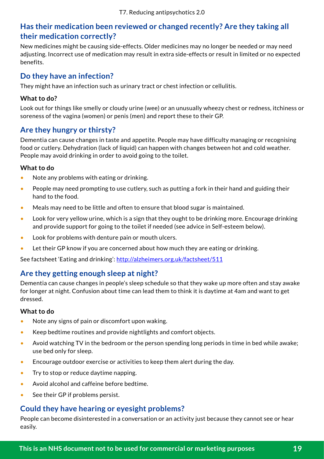# **Has their medication been reviewed or changed recently? Are they taking all their medication correctly?**

New medicines might be causing side-effects. Older medicines may no longer be needed or may need adjusting. Incorrect use of medication may result in extra side-effects or result in limited or no expected benefits.

# **Do they have an infection?**

They might have an infection such as urinary tract or chest infection or cellulitis.

## **What to do?**

Look out for things like smelly or cloudy urine (wee) or an unusually wheezy chest or redness, itchiness or soreness of the vagina (women) or penis (men) and report these to their GP.

# **Are they hungry or thirsty?**

Dementia can cause changes in taste and appetite. People may have difficulty managing or recognising food or cutlery. Dehydration (lack of liquid) can happen with changes between hot and cold weather. People may avoid drinking in order to avoid going to the toilet.

## **What to do**

- Note any problems with eating or drinking.
- People may need prompting to use cutlery, such as putting a fork in their hand and guiding their hand to the food.
- Meals may need to be little and often to ensure that blood sugar is maintained.
- Look for very yellow urine, which is a sign that they ought to be drinking more. Encourage drinking and provide support for going to the toilet if needed (see advice in Self-esteem below).
- Look for problems with denture pain or mouth ulcers.
- Let their GP know if you are concerned about how much they are eating or drinking.

See factsheet 'Eating and drinking': <http://alzheimers.org.uk/factsheet/511>

# **Are they getting enough sleep at night?**

Dementia can cause changes in people's sleep schedule so that they wake up more often and stay awake for longer at night. Confusion about time can lead them to think it is daytime at 4am and want to get dressed.

## **What to do**

- Note any signs of pain or discomfort upon waking.
- Keep bedtime routines and provide nightlights and comfort objects.
- Avoid watching TV in the bedroom or the person spending long periods in time in bed while awake; use bed only for sleep.
- Encourage outdoor exercise or activities to keep them alert during the day.
- Try to stop or reduce daytime napping.
- Avoid alcohol and caffeine before bedtime.
- See their GP if problems persist.

# **Could they have hearing or eyesight problems?**

People can become disinterested in a conversation or an activity just because they cannot see or hear easily.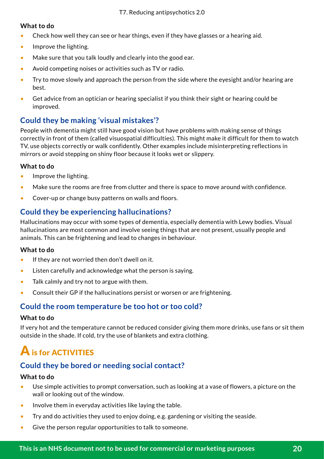## **What to do**

- Check how well they can see or hear things, even if they have glasses or a hearing aid.
- Improve the lighting.
- Make sure that you talk loudly and clearly into the good ear.
- Avoid competing noises or activities such as TV or radio.
- Try to move slowly and approach the person from the side where the eyesight and/or hearing are best.
- Get advice from an optician or hearing specialist if you think their sight or hearing could be improved.

# **Could they be making 'visual mistakes'?**

People with dementia might still have good vision but have problems with making sense of things correctly in front of them (called visuospatial difficulties). This might make it difficult for them to watch TV, use objects correctly or walk confidently. Other examples include misinterpreting reflections in mirrors or avoid stepping on shiny floor because it looks wet or slippery.

# **What to do**

- Improve the lighting.
- Make sure the rooms are free from clutter and there is space to move around with confidence.
- Cover-up or change busy patterns on walls and floors.

# **Could they be experiencing hallucinations?**

Hallucinations may occur with some types of dementia, especially dementia with Lewy bodies. Visual hallucinations are most common and involve seeing things that are not present, usually people and animals. This can be frightening and lead to changes in behaviour.

## **What to do**

- If they are not worried then don't dwell on it.
- Listen carefully and acknowledge what the person is saying.
- Talk calmly and try not to argue with them.
- Consult their GP if the hallucinations persist or worsen or are frightening.

# **Could the room temperature be too hot or too cold?**

#### **What to do**

If very hot and the temperature cannot be reduced consider giving them more drinks, use fans or sit them outside in the shade. If cold, try the use of blankets and extra clothing.

# A is for ACTIVITIES

# **Could they be bored or needing social contact?**

#### **What to do**

- Use simple activities to prompt conversation, such as looking at a vase of flowers, a picture on the wall or looking out of the window.
- Involve them in everyday activities like laying the table.
- Try and do activities they used to enjoy doing, e.g. gardening or visiting the seaside.
- Give the person regular opportunities to talk to someone.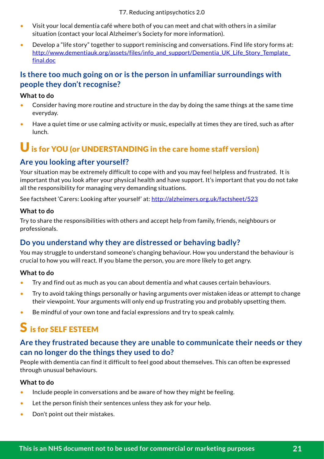T7. Reducing antipsychotics 2.0

- Visit your local dementia café where both of you can meet and chat with others in a similar situation (contact your local Alzheimer's Society for more information).
- Develop a "life story" together to support reminiscing and conversations. Find life story forms at: [http://www.dementiauk.org/assets/files/info\\_and\\_support/Dementia\\_UK\\_Life\\_Story\\_Template\\_](http://www.dementiauk.org/assets/files/info_and_support/Dementia_UK_Life_Story_Template_final.doc%0D) [final.doc](http://www.dementiauk.org/assets/files/info_and_support/Dementia_UK_Life_Story_Template_final.doc%0D)

# **Is there too much going on or is the person in unfamiliar surroundings with people they don't recognise?**

## **What to do**

- Consider having more routine and structure in the day by doing the same things at the same time everyday.
- Have a quiet time or use calming activity or music, especially at times they are tired, such as after lunch.

# U is for YOU (or UNDERSTANDING in the care home staff version)

# **Are you looking after yourself?**

Your situation may be extremely difficult to cope with and you may feel helpless and frustrated. It is important that you look after your physical health and have support. It's important that you do not take all the responsibility for managing very demanding situations.

See factsheet 'Carers: Looking after yourself' at: <http://alzheimers.org.uk/factsheet/523>

## **What to do**

Try to share the responsibilities with others and accept help from family, friends, neighbours or professionals.

# **Do you understand why they are distressed or behaving badly?**

You may struggle to understand someone's changing behaviour. How you understand the behaviour is crucial to how you will react. If you blame the person, you are more likely to get angry.

## **What to do**

- Try and find out as much as you can about dementia and what causes certain behaviours.
- Try to avoid taking things personally or having arguments over mistaken ideas or attempt to change their viewpoint. Your arguments will only end up frustrating you and probably upsetting them.
- Be mindful of your own tone and facial expressions and try to speak calmly.

# S is for SELF ESTEEM

# **Are they frustrated because they are unable to communicate their needs or they can no longer do the things they used to do?**

People with dementia can find it difficult to feel good about themselves. This can often be expressed through unusual behaviours.

## **What to do**

- Include people in conversations and be aware of how they might be feeling.
- Let the person finish their sentences unless they ask for your help.
- Don't point out their mistakes.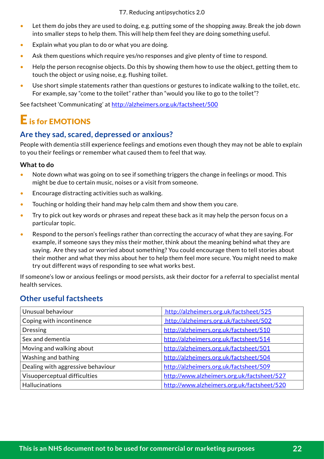- Let them do jobs they are used to doing, e.g. putting some of the shopping away. Break the job down into smaller steps to help them. This will help them feel they are doing something useful.
- Explain what you plan to do or what you are doing.
- Ask them questions which require yes/no responses and give plenty of time to respond.
- Help the person recognise objects. Do this by showing them how to use the object, getting them to touch the object or using noise, e.g. flushing toilet.
- Use short simple statements rather than questions or gestures to indicate walking to the toilet, etc. For example, say "come to the toilet" rather than "would you like to go to the toilet"?

See factsheet 'Communicating' at<http://alzheimers.org.uk/factsheet/500>

# E is for EMOTIONS

# **Are they sad, scared, depressed or anxious?**

People with dementia still experience feelings and emotions even though they may not be able to explain to you their feelings or remember what caused them to feel that way.

## **What to do**

- Note down what was going on to see if something triggers the change in feelings or mood. This might be due to certain music, noises or a visit from someone.
- Encourage distracting activities such as walking.
- Touching or holding their hand may help calm them and show them you care.
- Try to pick out key words or phrases and repeat these back as it may help the person focus on a particular topic.
- Respond to the person's feelings rather than correcting the accuracy of what they are saying. For example, if someone says they miss their mother, think about the meaning behind what they are saying. Are they sad or worried about something? You could encourage them to tell stories about their mother and what they miss about her to help them feel more secure. You might need to make try out different ways of responding to see what works best.

If someone's low or anxious feelings or mood persists, ask their doctor for a referral to specialist mental health services.

# **Other useful factsheets**

| Unusual behaviour                 | http://alzheimers.org.uk/factsheet/525     |
|-----------------------------------|--------------------------------------------|
| Coping with incontinence          | http://alzheimers.org.uk/factsheet/502     |
| <b>Dressing</b>                   | http://alzheimers.org.uk/factsheet/510     |
| Sex and dementia                  | http://alzheimers.org.uk/factsheet/514     |
| Moving and walking about          | http://alzheimers.org.uk/factsheet/501     |
| Washing and bathing               | http://alzheimers.org.uk/factsheet/504     |
| Dealing with aggressive behaviour | http://alzheimers.org.uk/factsheet/509     |
| Visuoperceptual difficulties      | http://www.alzheimers.org.uk/factsheet/527 |
| <b>Hallucinations</b>             | http://www.alzheimers.org.uk/factsheet/520 |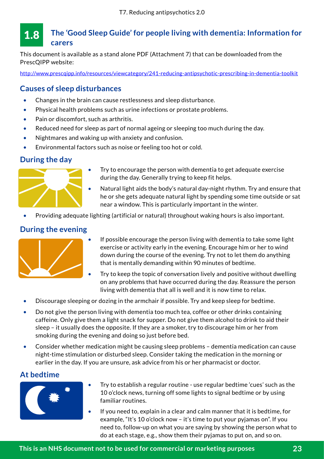#### <span id="page-24-0"></span>**The 'Good Sleep Guide' for people living with dementia: Information for carers** 1.8

This document is available as a stand alone PDF (Attachment 7) that can be downloaded from the PrescQIPP website:

<http://www.prescqipp.info/resources/viewcategory/241-reducing-antipsychotic-prescribing-in-dementia-toolkit>

# **Causes of sleep disturbances**

- Changes in the brain can cause restlessness and sleep disturbance.
- Physical health problems such as urine infections or prostate problems.
- Pain or discomfort, such as arthritis.
- Reduced need for sleep as part of normal ageing or sleeping too much during the day.
- Nightmares and waking up with anxiety and confusion.
- Environmental factors such as noise or feeling too hot or cold.

# **During the day**



- Try to encourage the person with dementia to get adequate exercise during the day. Generally trying to keep fit helps.
- Natural light aids the body's natural day-night rhythm. Try and ensure that he or she gets adequate natural light by spending some time outside or sat near a window. This is particularly important in the winter.
- Providing adequate lighting (artificial or natural) throughout waking hours is also important.

# **During the evening**



- If possible encourage the person living with dementia to take some light exercise or activity early in the evening. Encourage him or her to wind down during the course of the evening. Try not to let them do anything that is mentally demanding within 90 minutes of bedtime.
- Try to keep the topic of conversation lively and positive without dwelling on any problems that have occurred during the day. Reassure the person living with dementia that all is well and it is now time to relax.
- Discourage sleeping or dozing in the armchair if possible. Try and keep sleep for bedtime.
- Do not give the person living with dementia too much tea, coffee or other drinks containing caffeine. Only give them a light snack for supper. Do not give them alcohol to drink to aid their sleep – it usually does the opposite. If they are a smoker, try to discourage him or her from smoking during the evening and doing so just before bed.
- Consider whether medication might be causing sleep problems dementia medication can cause night-time stimulation or disturbed sleep. Consider taking the medication in the morning or earlier in the day. If you are unsure, ask advice from his or her pharmacist or doctor.

# **At bedtime**



- Try to establish a regular routine use regular bedtime 'cues' such as the 10 o'clock news, turning off some lights to signal bedtime or by using familiar routines.
- If you need to, explain in a clear and calm manner that it is bedtime, for example, "It's 10 o'clock now – it's time to put your pyjamas on". If you need to, follow-up on what you are saying by showing the person what to do at each stage, e.g., show them their pyjamas to put on, and so on.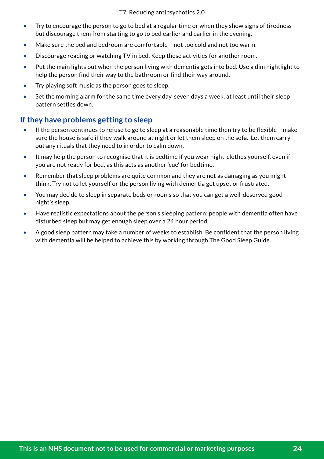- Try to encourage the person to go to bed at a regular time or when they show signs of tiredness but discourage them from starting to go to bed earlier and earlier in the evening.
- Make sure the bed and bedroom are comfortable not too cold and not too warm.
- Discourage reading or watching TV in bed. Keep these activities for another room.
- Put the main lights out when the person living with dementia gets into bed. Use a dim nightlight to help the person find their way to the bathroom or find their way around.
- Try playing soft music as the person goes to sleep.
- Set the morning alarm for the same time every day, seven days a week, at least until their sleep pattern settles down.

# **If they have problems getting to sleep**

- If the person continues to refuse to go to sleep at a reasonable time then try to be flexible make sure the house is safe if they walk around at night or let them sleep on the sofa. Let them carryout any rituals that they need to in order to calm down.
- It may help the person to recognise that it is bedtime if you wear night-clothes yourself, even if you are not ready for bed, as this acts as another 'cue' for bedtime.
- Remember that sleep problems are quite common and they are not as damaging as you might think. Try not to let yourself or the person living with dementia get upset or frustrated.
- You may decide to sleep in separate beds or rooms so that you can get a well-deserved good night's sleep.
- Have realistic expectations about the person's sleeping pattern; people with dementia often have disturbed sleep but may get enough sleep over a 24 hour period.
- A good sleep pattern may take a number of weeks to establish. Be confident that the person living with dementia will be helped to achieve this by working through The Good Sleep Guide.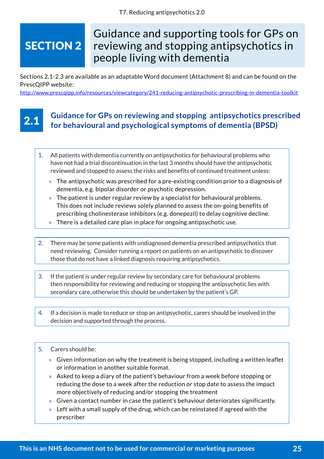# <span id="page-26-0"></span>SECTION 2

# Guidance and supporting tools for GPs on reviewing and stopping antipsychotics in people living with dementia

Sections 2.1-2.3 are available as an adaptable Word document (Attachment 8) and can be found on the PrescQIPP website:

<http://www.prescqipp.info/resources/viewcategory/241-reducing-antipsychotic-prescribing-in-dementia-toolkit>

# 2.1

# **Guidance for GPs on reviewing and stopping antipsychotics prescribed for behavioural and psychological symptoms of dementia (BPSD)**

- 1. All patients with dementia currently on antipsychotics for behavioural problems who have not had a trial discontinuation in the last 3 months should have the antipsychotic reviewed and stopped to assess the risks and benefits of continued treatment unless:
	- » The antipsychotic was prescribed for a pre-existing condition prior to a diagnosis of dementia, e.g. bipolar disorder or psychotic depression.
	- » The patient is under regular review by a specialist for behavioural problems. This does not include reviews solely planned to assess the on-going benefits of prescribing cholinesterase inhibitors (e.g. donepezil) to delay cognitive decline.
	- » There is a detailed care plan in place for ongoing antipsychotic use.
- 2. There may be some patients with undiagnosed dementia prescribed antipsychotics that need reviewing. Consider running a report on patients on an antipsychotic to discover those that do not have a linked diagnosis requiring antipsychotics.
- 3. If the patient is under regular review by secondary care for behavioural problems then responsibility for reviewing and reducing or stopping the antipsychotic lies with secondary care, otherwise this should be undertaken by the patient's GP.
- 4. If a decision is made to reduce or stop an antipsychotic, carers should be involved in the decision and supported through the process.
- 5. Carers should be:
	- » Given information on why the treatment is being stopped, including a written leaflet or information in another suitable format.
	- » Asked to keep a diary of the patient's behaviour from a week before stopping or reducing the dose to a week after the reduction or stop date to assess the impact more objectively of reducing and/or stopping the treatment
	- » Given a contact number in case the patient's behaviour deteriorates significantly.
	- » Left with a small supply of the drug, which can be reinstated if agreed with the prescriber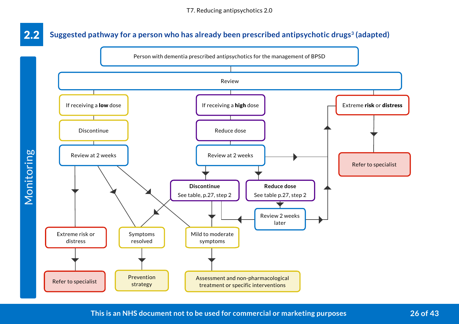#### <span id="page-27-0"></span>Suggested pathway for a person who has already been prescribed antipsychotic drugs<sup>3</sup> (adapted) 2.2



Monitoring

**This is an NHS document not to be used for commercial or marketing purposes 26 of 43**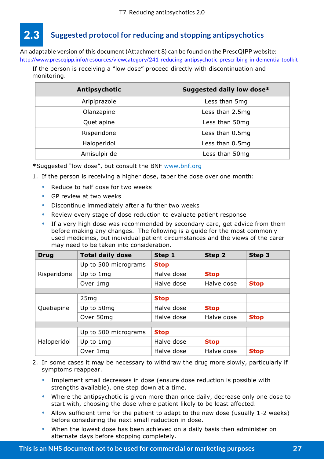# <span id="page-28-0"></span>2.3 **Suggested protocol for reducing and stopping antipsychotics**

An adaptable version of this document (Attachment 8) can be found on the PrescQIPP website: <http://www.prescqipp.info/resources/viewcategory/241-reducing-antipsychotic-prescribing-in-dementia-toolkit>

If the person is receiving a "low dose" proceed directly with discontinuation and monitoring.

| Antipsychotic | Suggested daily low dose* |
|---------------|---------------------------|
| Aripiprazole  | Less than 5mg             |
| Olanzapine    | Less than 2.5mg           |
| Quetiapine    | Less than 50mg            |
| Risperidone   | Less than 0.5mg           |
| Haloperidol   | Less than 0.5mg           |
| Amisulpiride  | Less than 50mg            |

**\***Suggested "low dose", but consult the BNF www.bnf.org

- 1. If the person is receiving a higher dose, taper the dose over one month:
	- Reduce to half dose for two weeks
	- GP review at two weeks
	- Discontinue immediately after a further two weeks
	- Review every stage of dose reduction to evaluate patient response
	- If a very high dose was recommended by secondary care, get advice from them before making any changes. The following is a guide for the most commonly used medicines, but individual patient circumstances and the views of the carer may need to be taken into consideration.

| <b>Drug</b> | <b>Total daily dose</b> | Step 1      | Step 2      | Step 3      |
|-------------|-------------------------|-------------|-------------|-------------|
|             | Up to 500 micrograms    | <b>Stop</b> |             |             |
| Risperidone | Up to 1mg               | Halve dose  | <b>Stop</b> |             |
|             | Over 1mg                | Halve dose  | Halve dose  | <b>Stop</b> |
|             |                         |             |             |             |
|             | 25mg                    | <b>Stop</b> |             |             |
| Quetiapine  | Up to 50mg              | Halve dose  | <b>Stop</b> |             |
|             | Over 50mg               | Halve dose  | Halve dose  | <b>Stop</b> |
|             |                         |             |             |             |
|             | Up to 500 micrograms    | <b>Stop</b> |             |             |
| Haloperidol | Up to 1mg               | Halve dose  | <b>Stop</b> |             |
|             | Over 1mg                | Halve dose  | Halve dose  | <b>Stop</b> |

- 2. In some cases it may be necessary to withdraw the drug more slowly, particularly if 5 symptoms reappear.
	- Implement small decreases in dose (ensure dose reduction is possible with strengths available), one step down at a time.
	- Where the antipsychotic is given more than once daily, decrease only one dose to start with, choosing the dose where patient likely to be least affected.
	- Allow sufficient time for the patient to adapt to the new dose (usually 1-2 weeks) before considering the next small reduction in dose.
	- When the lowest dose has been achieved on a daily basis then administer on alternate days before stopping completely.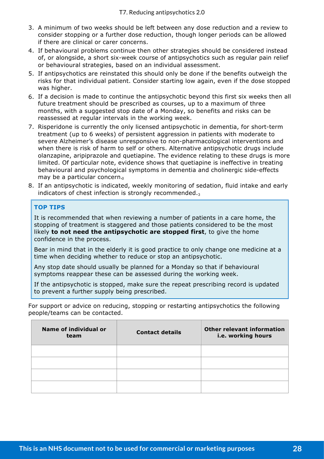- 3. A minimum of two weeks should be left between any dose reduction and a review to consider stopping or a further dose reduction, though longer periods can be allowed if there are clinical or carer concerns.
- 4. If behavioural problems continue then other strategies should be considered instead of, or alongside, a short six-week course of antipsychotics such as regular pain relief or behavioural strategies, based on an individual assessment.
- 5. If antipsychotics are reinstated this should only be done if the benefits outweigh the risks for that individual patient. Consider starting low again, even if the dose stopped was higher.
- 6. If a decision is made to continue the antipsychotic beyond this first six weeks then all future treatment should be prescribed as courses, up to a maximum of three months, with a suggested stop date of a Monday, so benefits and risks can be reassessed at regular intervals in the working week.
- 7. Risperidone is currently the only licensed antipsychotic in dementia, for short-term treatment (up to 6 weeks) of persistent aggression in patients with moderate to severe Alzheimer's disease unresponsive to non-pharmacological interventions and when there is risk of harm to self or others. Alternative antipsychotic drugs include olanzapine, aripiprazole and quetiapine. The evidence relating to these drugs is more limited. Of particular note, evidence shows that quetiapine is ineffective in treating behavioural and psychological symptoms in dementia and cholinergic side-effects may be a particular concern.
- 8. If an antipsychotic is indicated, weekly monitoring of sedation, fluid intake and early indicators of chest infection is strongly recommended. $_3$

## **TOP TIPS**

It is recommended that when reviewing a number of patients in a care home, the stopping of treatment is staggered and those patients considered to be the most likely **to not need the antipsychotic are stopped first**, to give the home confidence in the process.

Bear in mind that in the elderly it is good practice to only change one medicine at a time when deciding whether to reduce or stop an antipsychotic.

Any stop date should usually be planned for a Monday so that if behavioural symptoms reappear these can be assessed during the working week.

If the antipsychotic is stopped, make sure the repeat prescribing record is updated to prevent a further supply being prescribed.

For support or advice on reducing, stopping or restarting antipsychotics the following people/teams can be contacted.

| <b>Name of individual or</b><br>team | <b>Contact details</b> | <b>Other relevant information</b><br>i.e. working hours |  |
|--------------------------------------|------------------------|---------------------------------------------------------|--|
|                                      |                        |                                                         |  |
|                                      |                        |                                                         |  |
|                                      |                        |                                                         |  |
|                                      |                        |                                                         |  |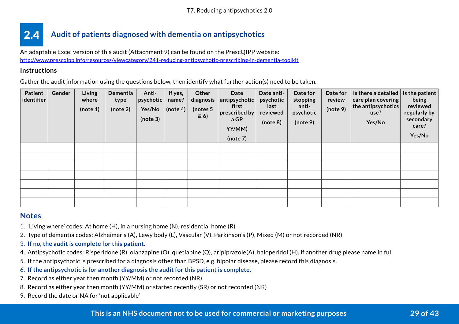#### <span id="page-30-0"></span>**Audit of patients diagnosed with dementia on antipsychotics** 2.4

An adaptable Excel version of this audit (Attachment 9) can be found on the PrescQIPP website: <http://www.prescqipp.info/resources/viewcategory/241-reducing-antipsychotic-prescribing-in-dementia-toolkit>

#### **Instructions**

Gather the audit information using the questions below, then identify what further action(s) need to be taken.

| <b>Patient</b><br>identifier | Gender | Living<br>where<br>(note 1) | Dementia<br>type<br>(note 2) | Anti-<br>psychotic<br>Yes/No<br>(note 3) | If yes,<br>name?<br>(note 4) | Other<br>diagnosis<br>(notes $5$<br>$\& 6)$ | Date<br>antipsychotic<br>first<br>prescribed by<br>a GP<br>YY/MM)<br>(note 7) | Date anti-<br>psychotic<br>last<br>reviewed<br>(note 8) | Date for<br>stopping<br>anti-<br>psychotic<br>(note 9) | Date for<br>review<br>(note 9) | Is there a detailed $ $<br>care plan covering<br>the antipsychotics<br>use?<br>Yes/No | Is the patient<br>being<br>reviewed<br>regularly by<br>secondary<br>care?<br>Yes/No |
|------------------------------|--------|-----------------------------|------------------------------|------------------------------------------|------------------------------|---------------------------------------------|-------------------------------------------------------------------------------|---------------------------------------------------------|--------------------------------------------------------|--------------------------------|---------------------------------------------------------------------------------------|-------------------------------------------------------------------------------------|
|                              |        |                             |                              |                                          |                              |                                             |                                                                               |                                                         |                                                        |                                |                                                                                       |                                                                                     |
|                              |        |                             |                              |                                          |                              |                                             |                                                                               |                                                         |                                                        |                                |                                                                                       |                                                                                     |
|                              |        |                             |                              |                                          |                              |                                             |                                                                               |                                                         |                                                        |                                |                                                                                       |                                                                                     |
|                              |        |                             |                              |                                          |                              |                                             |                                                                               |                                                         |                                                        |                                |                                                                                       |                                                                                     |
|                              |        |                             |                              |                                          |                              |                                             |                                                                               |                                                         |                                                        |                                |                                                                                       |                                                                                     |
|                              |        |                             |                              |                                          |                              |                                             |                                                                               |                                                         |                                                        |                                |                                                                                       |                                                                                     |
|                              |        |                             |                              |                                          |                              |                                             |                                                                               |                                                         |                                                        |                                |                                                                                       |                                                                                     |

## **Notes**

- 1. 'Living where' codes: At home (H), in a nursing home (N), residential home (R)
- 2. Type of dementia codes: Alzheimer's (A), Lewy body (L), Vascular (V), Parkinson's (P), Mixed (M) or not recorded (NR)
- 3. **If no, the audit is complete for this patient.**
- 4. Antipsychotic codes: Risperidone (R), olanzapine (O), quetiapine (Q), aripiprazole(A), haloperidol (H), if another drug please name in full
- 5. If the antipsychotic is prescribed for a diagnosis other than BPSD, e.g. bipolar disease, please record this diagnosis.
- 6. **If the antipsychotic is for another diagnosis the audit for this patient is complete.**
- 7. Record as either year then month (YY/MM) or not recorded (NR)
- 8. Record as either year then month (YY/MM) or started recently (SR) or not recorded (NR)
- 9. Record the date or NA for 'not applicable'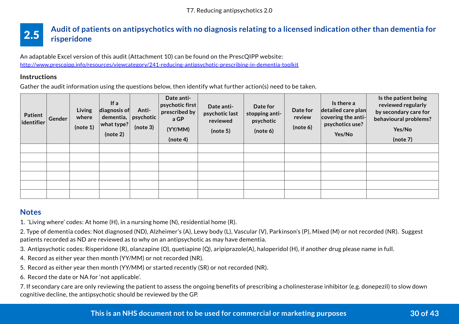#### <span id="page-31-0"></span>**Audit of patients on antipsychotics with no diagnosis relating to a licensed indication other than dementia for risperidone** 2.5

An adaptable Excel version of this audit (Attachment 10) can be found on the PrescQIPP website: <http://www.prescqipp.info/resources/viewcategory/241-reducing-antipsychotic-prescribing-in-dementia-toolkit>

#### **Instructions**

Gather the audit information using the questions below, then identify what further action(s) need to be taken.

| Patient<br>identifier | Gender | Living<br>where<br>(note 1) | If a<br>$\vert$ diagnosis of $\vert$<br>dementia, $ $<br>$ $ what type? $ $<br>(note 2) | Anti-<br>psychotic<br>(note 3) | Date anti-<br>$ $ psychotic first $ $<br>prescribed by<br>a GP<br>(YY/MM)<br>(note 4) | Date anti-<br>psychotic last<br>reviewed<br>(note 5) | Date for<br>stopping anti-<br>psychotic<br>(note 6) | Date for<br>review<br>(note 6) | Is there a<br>detailed care plan<br>$ $ covering the anti- $ $<br>psychotics use?<br>Yes/No | Is the patient being<br>reviewed regularly<br>by secondary care for<br>behavioural problems?<br>Yes/No<br>(note 7) |
|-----------------------|--------|-----------------------------|-----------------------------------------------------------------------------------------|--------------------------------|---------------------------------------------------------------------------------------|------------------------------------------------------|-----------------------------------------------------|--------------------------------|---------------------------------------------------------------------------------------------|--------------------------------------------------------------------------------------------------------------------|
|                       |        |                             |                                                                                         |                                |                                                                                       |                                                      |                                                     |                                |                                                                                             |                                                                                                                    |
|                       |        |                             |                                                                                         |                                |                                                                                       |                                                      |                                                     |                                |                                                                                             |                                                                                                                    |
|                       |        |                             |                                                                                         |                                |                                                                                       |                                                      |                                                     |                                |                                                                                             |                                                                                                                    |
|                       |        |                             |                                                                                         |                                |                                                                                       |                                                      |                                                     |                                |                                                                                             |                                                                                                                    |
|                       |        |                             |                                                                                         |                                |                                                                                       |                                                      |                                                     |                                |                                                                                             |                                                                                                                    |
|                       |        |                             |                                                                                         |                                |                                                                                       |                                                      |                                                     |                                |                                                                                             |                                                                                                                    |

# **Notes**

1. 'Living where' codes: At home (H), in a nursing home (N), residential home (R).

2. Type of dementia codes: Not diagnosed (ND), Alzheimer's (A), Lewy body (L), Vascular (V), Parkinson's (P), Mixed (M) or not recorded (NR). Suggest patients recorded as ND are reviewed as to why on an antipsychotic as may have dementia.

3. Antipsychotic codes: Risperidone (R), olanzapine (O), quetiapine (Q), aripiprazole(A), haloperidol (H), if another drug please name in full.

4. Record as either year then month (YY/MM) or not recorded (NR).

5. Record as either year then month (YY/MM) or started recently (SR) or not recorded (NR).

6. Record the date or NA for 'not applicable'.

7. If secondary care are only reviewing the patient to assess the ongoing benefits of prescribing a cholinesterase inhibitor (e.g. donepezil) to slow down cognitive decline, the antipsychotic should be reviewed by the GP.

## **This is an NHS document not to be used for commercial or marketing purposes 30 of 43**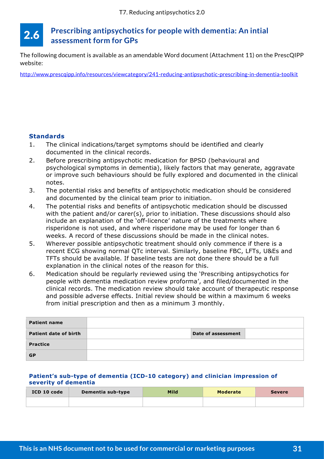#### <span id="page-32-0"></span>**Prescribing antipsychotics for people with dementia: An intial assessment form for GPs** 2.6

The following document is available as an amendable Word document (Attachment 11) on the PrescQIPP website:

<http://www.prescqipp.info/resources/viewcategory/241-reducing-antipsychotic-prescribing-in-dementia-toolkit>

## **Standards**

- 1. The clinical indications/target symptoms should be identified and clearly documented in the clinical records.
- 2. Before prescribing antipsychotic medication for BPSD (behavioural and psychological symptoms in dementia), likely factors that may generate, aggravate or improve such behaviours should be fully explored and documented in the clinical notes.
- 3. The potential risks and benefits of antipsychotic medication should be considered and documented by the clinical team prior to initiation.
- 4. The potential risks and benefits of antipsychotic medication should be discussed with the patient and/or carer(s), prior to initiation. These discussions should also include an explanation of the 'off-licence' nature of the treatments where risperidone is not used, and where risperidone may be used for longer than 6 weeks. A record of these discussions should be made in the clinical notes.
- 5. Wherever possible antipsychotic treatment should only commence if there is a recent ECG showing normal QTc interval. Similarly, baseline FBC, LFTs, U&Es and TFTs should be available. If baseline tests are not done there should be a full explanation in the clinical notes of the reason for this.
- 6. Medication should be regularly reviewed using the 'Prescribing antipsychotics for people with dementia medication review proforma', and filed/documented in the clinical records. The medication review should take account of therapeutic response and possible adverse effects. Initial review should be within a maximum 6 weeks from initial prescription and then as a minimum 3 monthly.

| <b>Patient name</b>   |                    |  |
|-----------------------|--------------------|--|
| Patient date of birth | Date of assessment |  |
| <b>Practice</b>       |                    |  |
| <b>GP</b>             |                    |  |

#### **Patient's sub-type of dementia (ICD-10 category) and clinician impression of severity of dementia**

| ICD 10 code | Dementia sub-type | Mild | <b>Moderate</b> | <b>Severe</b> |
|-------------|-------------------|------|-----------------|---------------|
|             |                   |      |                 |               |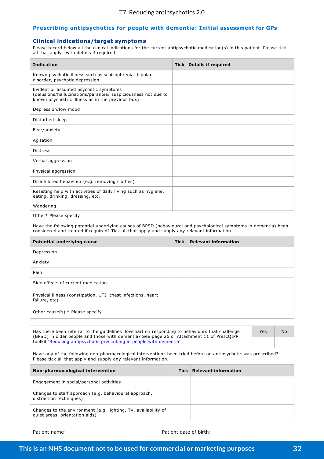#### **Prescribing antipsychotics for people with dementia: Initial assessment for GPs**

#### **Clinical indications/target symptoms**

Please record below all the clinical indications for the current antipsychotic medication(s) in this patient. Please tick all that apply –with details if required.

| <b>Indication</b>                                                                                                                                           | Tick   Details if required |
|-------------------------------------------------------------------------------------------------------------------------------------------------------------|----------------------------|
| Known psychotic illness such as schizophrenia, bipolar<br>disorder, psychotic depression                                                                    |                            |
| Evident or assumed psychotic symptoms<br>(delusions/hallucinations/paranoia/ suspiciousness not due to<br>known psychiatric illness as in the previous box) |                            |
| Depression/low mood                                                                                                                                         |                            |
| Disturbed sleep                                                                                                                                             |                            |
| Fear/anxiety                                                                                                                                                |                            |
| Agitation                                                                                                                                                   |                            |
| <b>Distress</b>                                                                                                                                             |                            |
| Verbal aggression                                                                                                                                           |                            |
| Physical aggression                                                                                                                                         |                            |
| Disinhibited behaviour (e.g. removing clothes)                                                                                                              |                            |
| Resisting help with activities of daily living such as hygiene,<br>eating, drinking, dressing, etc.                                                         |                            |
| Wandering                                                                                                                                                   |                            |
| Other* Please specify                                                                                                                                       |                            |

Have the following potential underlying causes of BPSD (behavioural and psychological symptoms in dementia) been considered and treated if required? Tick all that apply and supply any relevant information.

| <b>Potential underlying cause</b>                                             | <b>Tick</b> | <b>Relevant information</b> |
|-------------------------------------------------------------------------------|-------------|-----------------------------|
| Depression                                                                    |             |                             |
| Anxiety                                                                       |             |                             |
| Pain                                                                          |             |                             |
| Side effects of current medication                                            |             |                             |
| Physical illness (constipation, UTI, chest infections, heart<br>failure, etc) |             |                             |
| Other cause(s) $*$ Please specify                                             |             |                             |

Has there been referral to the guidelines flowchart on responding to behaviours that challenge (BPSD) in older people and those with dementia? See page 26 or Attachment 11 of PrescQIPP toolkit 'Reducing antipsychotic prescribing in people with dementia'.

Yes | No

Have any of the following non-pharmacological interventions been tried before an antipsychotic was prescribed? Please tick all that apply and supply any relevant information.

| Non-pharmacological intervention                                                                 | Tick | <b>Relevant information</b> |
|--------------------------------------------------------------------------------------------------|------|-----------------------------|
| Engagement in social/personal activities                                                         |      |                             |
| Changes to staff approach (e.g. behavioural approach,<br>distraction techniques)                 |      |                             |
| Changes to the environment (e.g. lighting, TV, availability of<br>quiet areas, orientation aids) |      |                             |

Patient name: Patient date of birth: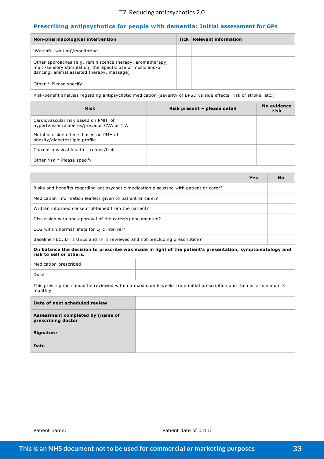#### T7. Reducing antipsychotics 2.0

#### **Prescribing antipsychotics for people with dementia: Initial assessment for GPs**

| Non-pharmacological intervention                                                                                                                                       | Tick   Relevant information |
|------------------------------------------------------------------------------------------------------------------------------------------------------------------------|-----------------------------|
| 'Watchful waiting'/monitoring                                                                                                                                          |                             |
| Other approaches (e.g. reminiscence therapy, aromatherapy,<br>multi-sensory stimulation, therapeutic use of music and/or<br>dancing, animal assisted therapy, massage) |                             |
| Other * Please specify                                                                                                                                                 |                             |

Risk/benefit analysis regarding antipsychotic medication (severity of BPSD vs side effects, risk of stroke, etc.)

| <b>Risk</b>                                                                      | Risk present - please detail | No evidence<br>risk |
|----------------------------------------------------------------------------------|------------------------------|---------------------|
| Cardiovascular risk based on PMH of<br>hypertension/diabetes/previous CVA or TIA |                              |                     |
| Metabolic side effects based on PMH of<br>obesity/diabetes/lipid profile         |                              |                     |
| Current physical health - robust/frail                                           |                              |                     |
| Other risk * Please specify                                                      |                              |                     |

|                                                                                                                                     |  | Yes | <b>No</b> |
|-------------------------------------------------------------------------------------------------------------------------------------|--|-----|-----------|
| Risks and benefits regarding antipsychotic medication discussed with patient or carer?                                              |  |     |           |
| Medication information leaflets given to patient or carer?                                                                          |  |     |           |
| Written informed consent obtained from the patient?                                                                                 |  |     |           |
| Discussion with and approval of the carer(s) documented?                                                                            |  |     |           |
| ECG within normal limits for QTc interval?                                                                                          |  |     |           |
| Baseline FBC, LFTs U&Es and TFTs reviewed and not precluding prescription?                                                          |  |     |           |
| On balance the decision to prescribe was made in light of the patient's presentation, symptomatology and<br>risk to self or others. |  |     |           |
| Medication prescribed                                                                                                               |  |     |           |

Dose

This prescription should be reviewed within a maximum 6 weeks from initial prescription and then as a minimum 3 monthly.

| Date of next scheduled review                          |  |
|--------------------------------------------------------|--|
| Assessment completed by (name of<br>prescribing doctor |  |
| Signature                                              |  |
| <b>Date</b>                                            |  |

Patient name: Patient date of birth: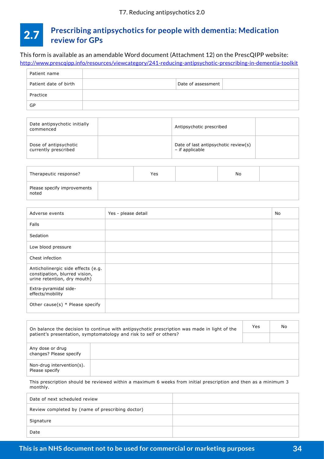#### <span id="page-35-0"></span>**Prescribing antipsychotics for people with dementia: Medication review for GPs** 2.7

This form is available as an amendable Word document (Attachment 12) on the PrescQIPP website:

<http://www.prescqipp.info/resources/viewcategory/241-reducing-antipsychotic-prescribing-in-dementia-toolkit>

| Patient name          |                    |
|-----------------------|--------------------|
| Patient date of birth | Date of assessment |
| Practice              |                    |
| GP                    |                    |

| Date antipsychotic initially<br>commenced     | Antipsychotic prescribed                                |  |
|-----------------------------------------------|---------------------------------------------------------|--|
| Dose of antipsychotic<br>currently prescribed | Date of last antipsychotic review(s)<br>- if applicable |  |

| Therapeutic response?                |  | Yes | No |  |
|--------------------------------------|--|-----|----|--|
| Please specify improvements<br>noted |  |     |    |  |

| Adverse events                                                                                     | Yes - please detail | No |
|----------------------------------------------------------------------------------------------------|---------------------|----|
| <b>Falls</b>                                                                                       |                     |    |
| Sedation                                                                                           |                     |    |
| Low blood pressure                                                                                 |                     |    |
| Chest infection                                                                                    |                     |    |
| Anticholinergic side effects (e.g.<br>constipation, blurred vision,<br>urine retention, dry mouth) |                     |    |
| Extra-pyramidal side-<br>effects/mobility                                                          |                     |    |
| Other cause(s) $*$ Please specify                                                                  |                     |    |

| On balance the decision to continue with antipsychotic prescription was made in light of the |                                                                    |  | No |
|----------------------------------------------------------------------------------------------|--------------------------------------------------------------------|--|----|
|                                                                                              | patient's presentation, symptomatology and risk to self or others? |  |    |
| Any dose or drug<br>changes? Please specify                                                  |                                                                    |  |    |
| Non-drug intervention(s).<br>Please specify                                                  |                                                                    |  |    |

This prescription should be reviewed within a maximum 6 weeks from initial prescription and then as a minimum 3 monthly.

| Date of next scheduled review                    |  |
|--------------------------------------------------|--|
| Review completed by (name of prescribing doctor) |  |
| Signature                                        |  |
| Date                                             |  |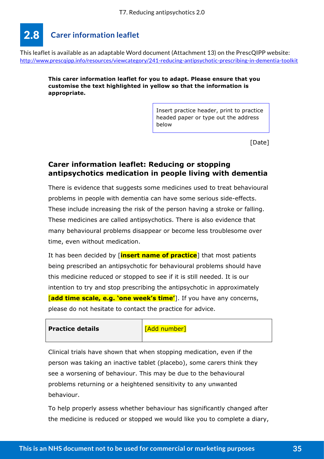#### <span id="page-36-0"></span>**Carer information leaflet** 2.8

This leaflet is available as an adaptable Word document (Attachment 13) on the PrescQIPP website: <http://www.prescqipp.info/resources/viewcategory/241-reducing-antipsychotic-prescribing-in-dementia-toolkit>

**This carer information leaflet for you to adapt. Please ensure that you customise the text highlighted in yellow so that the information is appropriate.** 

> Insert practice header, print to practice headed paper or type out the address below

> > [Date]

# **Carer information leaflet: Reducing or stopping antipsychotics medication in people living with dementia**

There is evidence that suggests some medicines used to treat behavioural problems in people with dementia can have some serious side-effects. These include increasing the risk of the person having a stroke or falling. These medicines are called antipsychotics. There is also evidence that many behavioural problems disappear or become less troublesome over time, even without medication.

It has been decided by [**insert name of practice**] that most patients being prescribed an antipsychotic for behavioural problems should have this medicine reduced or stopped to see if it is still needed. It is our intention to try and stop prescribing the antipsychotic in approximately [**add time scale, e.g. 'one week's time'**]. If you have any concerns, please do not hesitate to contact the practice for advice.

**Practice details Example 1** [Add number]

Clinical trials have shown that when stopping medication, even if the person was taking an inactive tablet (placebo), some carers think they see a worsening of behaviour. This may be due to the behavioural problems returning or a heightened sensitivity to any unwanted behaviour.

To help properly assess whether behaviour has significantly changed after the medicine is reduced or stopped we would like you to complete a diary,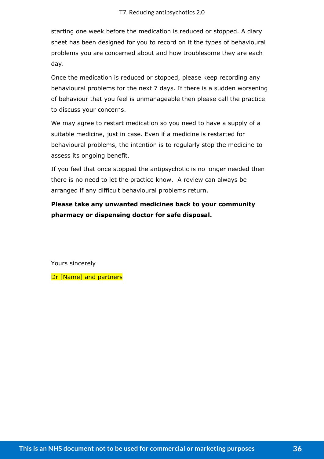starting one week before the medication is reduced or stopped. A diary sheet has been designed for you to record on it the types of behavioural problems you are concerned about and how troublesome they are each day.

Once the medication is reduced or stopped, please keep recording any behavioural problems for the next 7 days. If there is a sudden worsening of behaviour that you feel is unmanageable then please call the practice to discuss your concerns.

We may agree to restart medication so you need to have a supply of a suitable medicine, just in case. Even if a medicine is restarted for behavioural problems, the intention is to regularly stop the medicine to assess its ongoing benefit.

If you feel that once stopped the antipsychotic is no longer needed then there is no need to let the practice know. A review can always be arranged if any difficult behavioural problems return.

**Please take any unwanted medicines back to your community pharmacy or dispensing doctor for safe disposal.**

Yours sincerely

Dr [Name] and partners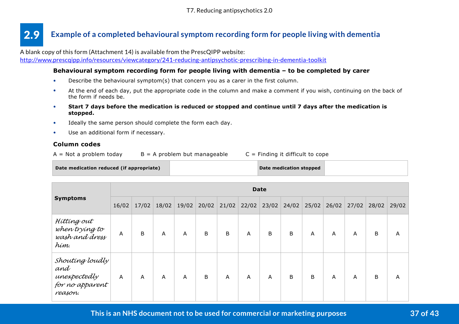#### <span id="page-38-0"></span>**Example of a completed behavioural symptom recording form for people living with dementia** 2.9

A blank copy of this form (Attachment 14) is available from the PrescQIPP website:

<http://www.prescqipp.info/resources/viewcategory/241-reducing-antipsychotic-prescribing-in-dementia-toolkit>

#### **Behavioural symptom recording form for people living with dementia – to be completed by carer**

- Describe the behavioural symptom(s) that concern you as a carer in the first column.
- At the end of each day, put the appropriate code in the column and make a comment if you wish, continuing on the back of the form if needs be.
- **Start 7 days before the medication is reduced or stopped and continue until 7 days after the medication is stopped.**
- Ideally the same person should complete the form each day.
- Use an additional form if necessary.

#### **Column codes**

 $A = Not$  a problem today  $B = A$  problem but manageable  $C = Find$ ing it difficult to cope

| Date medication reduced (if appropriate) | Date medication stopped |  |
|------------------------------------------|-------------------------|--|
|------------------------------------------|-------------------------|--|

|                                                                      | <b>Date</b>    |       |       |       |       |             |       |               |   |       |       |       |       |       |
|----------------------------------------------------------------------|----------------|-------|-------|-------|-------|-------------|-------|---------------|---|-------|-------|-------|-------|-------|
| <b>Symptoms</b>                                                      | 16/02          | 17/02 | 18/02 | 19/02 | 20/02 | 21/02       | 22/02 | $23/02$ 24/02 |   | 25/02 | 26/02 | 27/02 | 28/02 | 29/02 |
| Híttíng out<br>when trying to<br>wash and dress<br>hím.              | A              | B     | A     | A     | B     | $\mathsf B$ | A     | B             | B | A     | A     | A     | В     | A     |
| Shouting loudly<br>and<br>unexpectedly<br>for no apparent<br>reason. | $\overline{A}$ | A     | A     | A     | B     | A           | A     | A             | B | B     | A     | A     | B     | A     |

**This is an NHS document not to be used for commercial or marketing purposes 37 of 43**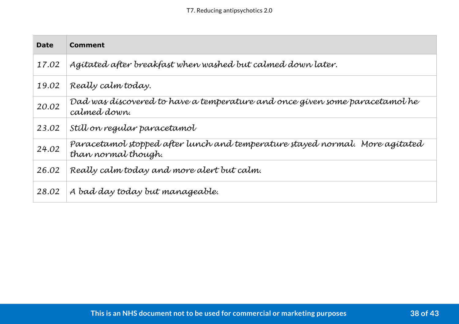| <b>Date</b> | <b>Comment</b>                                                                                      |
|-------------|-----------------------------------------------------------------------------------------------------|
| 17.02       | Agitated after breakfast when washed but calmed down later.                                         |
| 19.02       | Really calm today.                                                                                  |
| 20.02       | Dad was discovered to have a temperature and once given some paracetamol he<br>calmed down.         |
| 23.02       | Still on regular paracetamol                                                                        |
| 24.02       | Paracetamol stopped after lunch and temperature stayed normal. More agitated<br>than normal though. |
| 26.02       | Really calm today and more alert but calm.                                                          |
| 28.02       | A bad day today but manageable.                                                                     |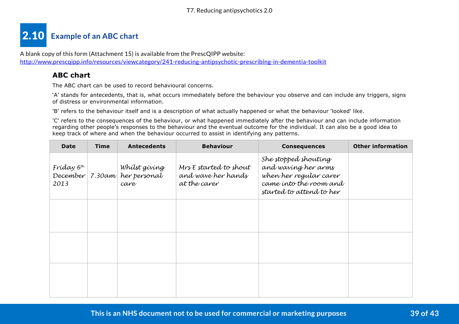# <span id="page-40-0"></span>**Example of an ABC chart** 2.10

A blank copy of this form (Attachment 15) is available from the PrescQIPP website: <http://www.prescqipp.info/resources/viewcategory/241-reducing-antipsychotic-prescribing-in-dementia-toolkit>

# **ABC chart**

The ABC chart can be used to record behavioural concerns.

'A' stands for antecedents, that is, what occurs immediately before the behaviour you observe and can include any triggers, signs of distress or environmental information.

'B' refers to the behaviour itself and is a description of what actually happened or what the behaviour 'looked' like.

'C' refers to the consequences of the behaviour, or what happened immediately after the behaviour and can include information regarding other people's responses to the behaviour and the eventual outcome for the individual. It can also be a good idea to keep track of where and when the behaviour occurred to assist in identifying any patterns.

| <b>Date</b>                    | <b>Time</b> | <b>Antecedents</b>                                    | <b>Behaviour</b>                                             | <b>Consequences</b>                                                                                                         | <b>Other information</b> |
|--------------------------------|-------------|-------------------------------------------------------|--------------------------------------------------------------|-----------------------------------------------------------------------------------------------------------------------------|--------------------------|
| Fríday 6 <sup>th</sup><br>2013 |             | Whílst gívíng<br>December 7.30am her personal<br>care | Mrs E started to shout<br>and wave her hands<br>at the carer | She stopped shouting<br>and waving her arms<br>when her regular carer<br>came into the room and<br>started to attend to her |                          |
|                                |             |                                                       |                                                              |                                                                                                                             |                          |
|                                |             |                                                       |                                                              |                                                                                                                             |                          |
|                                |             |                                                       |                                                              |                                                                                                                             |                          |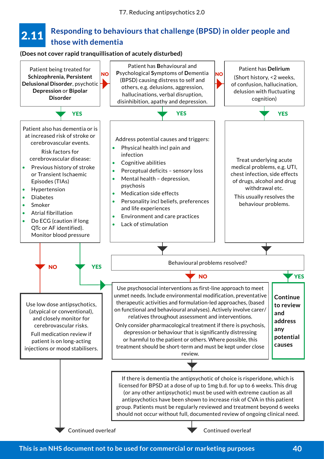#### <span id="page-41-0"></span>**Responding to behaviours that challenge (BPSD) in older people and those with dementia** 2.11

#### **(Does not cover rapid tranquillisation of acutely disturbed)**

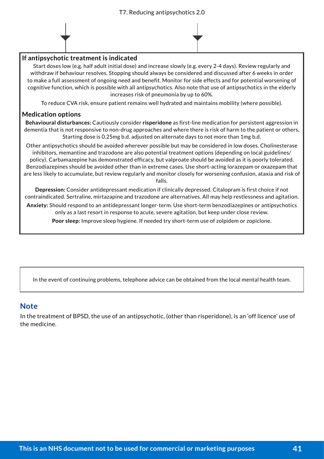

Start doses low (e.g. half adult initial dose) and increase slowly (e.g. every 2-4 days). Review regularly and withdraw if behaviour resolves. Stopping should always be considered and discussed after 6 weeks in order to make a full assessment of ongoing need and benefit. Monitor for side effects and for potential worsening of cognitive function, which is possible with all antipsychotics. Also note that use of antipsychotics in the elderly increases risk of pneumonia by up to 60%.

To reduce CVA risk, ensure patient remains well hydrated and maintains mobility (where possible).

#### **Medication options**

**Behavioural disturbances:** Cautiously consider **risperidone** as first-line medication for persistent aggression in dementia that is not responsive to non-drug approaches and where there is risk of harm to the patient or others. Starting dose is 0.25mg b.d. adjusted on alternate days to not more than 1mg b.d.

Other antipsychotics should be avoided wherever possible but may be considered in low doses. Cholinesterase inhibitors, memantine and trazodone are also potential treatment options (depending on local guidelines/ policy). Carbamazepine has demonstrated efficacy, but valproate should be avoided as it is poorly tolerated. Benzodiazepines should be avoided other than in extreme cases. Use short-acting lorazepam or oxazepam that are less likely to accumulate, but review regularly and monitor closely for worsening confusion, ataxia and risk of falls.

**Depression:** Consider antidepressant medication if clinically depressed. Citalopram is first choice if not contraindicated. Sertraline, mirtazapine and trazodone are alternatives. All may help restlessness and agitation.

**Anxiety:** Should respond to an antidepressant longer-term. Use short-term benzodiazepines or antipsychotics only as a last resort in response to acute, severe agitation, but keep under close review.

**Poor sleep:** Improve sleep hygiene. If needed try short-term use of zolpidem or zopiclone.

In the event of continuing problems, telephone advice can be obtained from the local mental health team.

## **Note**

In the treatment of BPSD, the use of an antipsychotic, (other than risperidone), is an 'off licence' use of the medicine.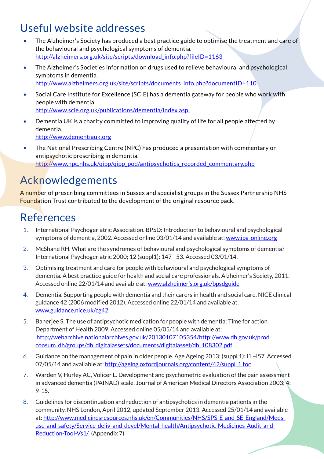# <span id="page-43-0"></span>Useful website addresses

- The Alzheimer's Society has produced a best practice guide to optimise the treatment and care of the behavioural and psychological symptoms of dementia. http://alzheimers.org.uk/site/scripts/download\_info.php?fileID=1163
- The Alzheimer's Societies information on drugs used to relieve behavioural and psychological symptoms in dementia. [http://www.alzheimers.org.uk/site/scripts/documents\\_info.php?documentID=110](http://www.alzheimers.org.uk/site/scripts/documents_info.php%3FdocumentID%3D110)
- Social Care Institute for Excellence (SCIE) has a dementia gateway for people who work with people with dementia. [http://www.scie.org.uk/publications/dementia/index.asp](http://www.scie.org.uk/publications/dementia/index.asp%20%0D)
- Dementia UK is a charity committed to improving quality of life for all people affected by dementia. <http://www.dementiauk.org>
- The National Prescribing Centre (NPC) has produced a presentation with commentary on antipsychotic prescribing in dementia. http://www.npc.nhs.uk/gipp/gipp\_pod/antipsychotics\_recorded\_commentary.php

# Acknowledgements

A number of prescribing committees in Sussex and specialist groups in the Sussex Partnership NHS Foundation Trust contributed to the development of the original resource pack.

# References

- 1. International Psychogeriatric Association. BPSD: Introduction to behavioural and psychological symptoms of dementia, 2002. Accessed online 03/01/14 and available at: www.jpa-online.org
- 2. McShane RH. What are the syndromes of behavioural and psychological symptoms of dementia? International Psychogeriatric 2000; 12 (suppl1): 147 - 53. Accessed 03/01/14.
- 3. Optimising treatment and care for people with behavioural and psychological symptoms of dementia. A best practice guide for health and social care professionals. Alzheimer's Society, 2011. Accessed online 22/01/14 and available at: [www.alzheimer's.org.uk/bpsdguide](www.alzheimer%E2%80%99s.org.uk/bpsdguide)
- 4. Dementia. Supporting people with dementia and their carers in health and social care. NICE clinical guidance 42 (2006 modified 2012). Accessed online 22/01/14 and available at: <www.guidance.nice.uk/cg42>
- 5. Banerjee S. The use of antipsychotic medication for people with dementia: Time for action. Department of Health 2009. Accessed online 05/05/14 and available at:  [http://webarchive.nationalarchives.gov.uk/20130107105354/http://www.dh.gov.uk/prod\\_](%20http://webarchive.nationalarchives.gov.uk/20130107105354/http://www.dh.gov.uk/prod_consum_dh/groups/dh_digitalassets/documents/digitalasset/dh_108302.pdf) [consum\\_dh/groups/dh\\_digitalassets/documents/digitalasset/dh\\_108302.pdf](%20http://webarchive.nationalarchives.gov.uk/20130107105354/http://www.dh.gov.uk/prod_consum_dh/groups/dh_digitalassets/documents/digitalasset/dh_108302.pdf)
- 6. Guidance on the management of pain in older people. Age Ageing 2013; (suppl 1): i1 –i57. Accessed 07/05/14 and available at: [http://ageing.oxfordjournals.org/content/42/suppl\\_1.toc](http://ageing.oxfordjournals.org/content/42/suppl_1.toc)
- 7. Warden V, Hurley AC, Volicer L. Development and psychometric evaluation of the pain assessment in advanced dementia (PAINAD) scale. Journal of American Medical Directors Association 2003; 4: 9-15.
- 8. Guidelines for discontinuation and reduction of antipsychotics in dementia patients in the community. NHS London, April 2012, updated September 2013. Accessed 25/01/14 and available at: [http://www.medicinesresources.nhs.uk/en/Communities/NHS/SPS-E-and-SE-England/Meds](http://www.medicinesresources.nhs.uk/en/Communities/NHS/SPS-E-and-SE-England/Meds-use-and-safety/Service-deliv-and-devel/Mental-health/Antipsychotic-Medicines-Audit-and-Reduction-Tool-Vs1/)[use-and-safety/Service-deliv-and-devel/Mental-health/Antipsychotic-Medicines-Audit-and-](http://www.medicinesresources.nhs.uk/en/Communities/NHS/SPS-E-and-SE-England/Meds-use-and-safety/Service-deliv-and-devel/Mental-health/Antipsychotic-Medicines-Audit-and-Reduction-Tool-Vs1/)[Reduction-Tool-Vs1/](http://www.medicinesresources.nhs.uk/en/Communities/NHS/SPS-E-and-SE-England/Meds-use-and-safety/Service-deliv-and-devel/Mental-health/Antipsychotic-Medicines-Audit-and-Reduction-Tool-Vs1/) (Appendix 7)